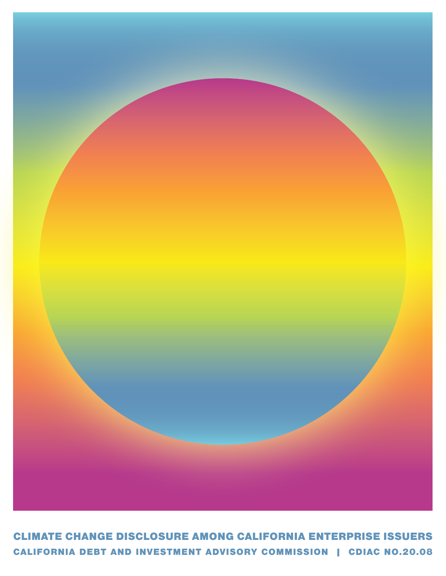

CALIFORNIA DEBT AND INVESTMENT ADVISORY COMMISSION | CDIAC NO.20.08 CLIMATE CHANGE DISCLOSURE AMONG CALIFORNIA ENTERPRISE ISSUERS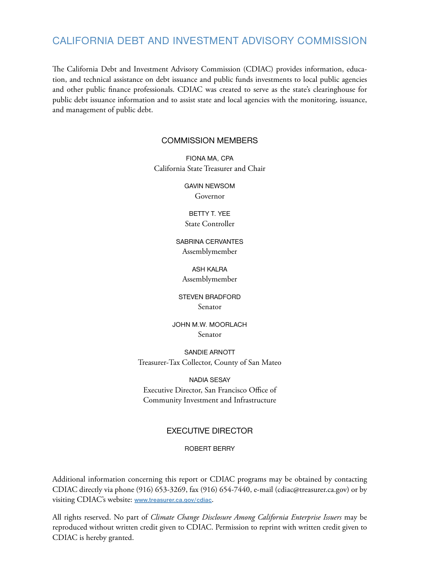# CALIFORNIA DEBT AND INVESTMENT ADVISORY COMMISSION

The California Debt and Investment Advisory Commission (CDIAC) provides information, education, and technical assistance on debt issuance and public funds investments to local public agencies and other public finance professionals. CDIAC was created to serve as the state's clearinghouse for public debt issuance information and to assist state and local agencies with the monitoring, issuance, and management of public debt.

#### COMMISSION MEMBERS

FIONA MA, CPA California State Treasurer and Chair

> GAVIN NEWSOM Governor

BETTY T. YEE

State Controller

SABRINA CERVANTES Assemblymember

ASH KALRA Assemblymember

STEVEN BRADFORD Senator

JOHN M.W. MOORLACH Senator

SANDIE ARNOTT Treasurer-Tax Collector, County of San Mateo

NADIA SESAY Executive Director, San Francisco Office of Community Investment and Infrastructure

### EXECUTIVE DIRECTOR

ROBERT BERRY

Additional information concerning this report or CDIAC programs may be obtained by contacting CDIAC directly via phone (916) 653-3269, fax (916) 654-7440, e-mail (cdiac@treasurer.ca.gov) or by visiting CDIAC's website: **<www.treasurer.ca.gov/cdiac>**.

All rights reserved. No part of *Climate Change Disclosure Among California Enterprise Issuers* may be reproduced without written credit given to CDIAC. Permission to reprint with written credit given to CDIAC is hereby granted.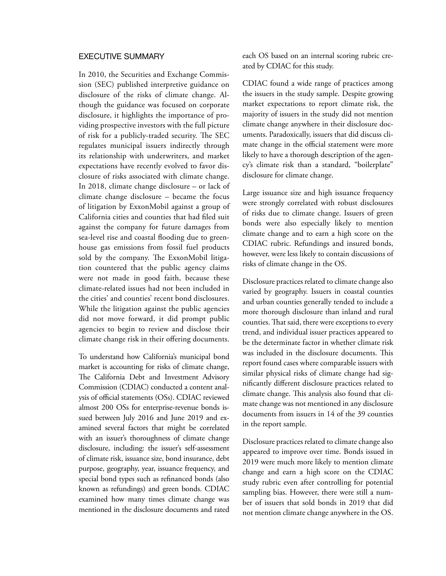#### EXECUTIVE SUMMARY

In 2010, the Securities and Exchange Commission (SEC) published interpretive guidance on disclosure of the risks of climate change. Although the guidance was focused on corporate disclosure, it highlights the importance of providing prospective investors with the full picture of risk for a publicly-traded security. The SEC regulates municipal issuers indirectly through its relationship with underwriters, and market expectations have recently evolved to favor disclosure of risks associated with climate change. In 2018, climate change disclosure – or lack of climate change disclosure – became the focus of litigation by ExxonMobil against a group of California cities and counties that had filed suit against the company for future damages from sea-level rise and coastal flooding due to greenhouse gas emissions from fossil fuel products sold by the company. The ExxonMobil litigation countered that the public agency claims were not made in good faith, because these climate-related issues had not been included in the cities' and counties' recent bond disclosures. While the litigation against the public agencies did not move forward, it did prompt public agencies to begin to review and disclose their climate change risk in their offering documents.

To understand how California's municipal bond market is accounting for risks of climate change, The California Debt and Investment Advisory Commission (CDIAC) conducted a content analysis of official statements (OSs). CDIAC reviewed almost 200 OSs for enterprise-revenue bonds issued between July 2016 and June 2019 and examined several factors that might be correlated with an issuer's thoroughness of climate change disclosure, including: the issuer's self-assessment of climate risk, issuance size, bond insurance, debt purpose, geography, year, issuance frequency, and special bond types such as refinanced bonds (also known as refundings) and green bonds. CDIAC examined how many times climate change was mentioned in the disclosure documents and rated each OS based on an internal scoring rubric created by CDIAC for this study.

CDIAC found a wide range of practices among the issuers in the study sample. Despite growing market expectations to report climate risk, the majority of issuers in the study did not mention climate change anywhere in their disclosure documents. Paradoxically, issuers that did discuss climate change in the official statement were more likely to have a thorough description of the agency's climate risk than a standard, "boilerplate" disclosure for climate change.

Large issuance size and high issuance frequency were strongly correlated with robust disclosures of risks due to climate change. Issuers of green bonds were also especially likely to mention climate change and to earn a high score on the CDIAC rubric. Refundings and insured bonds, however, were less likely to contain discussions of risks of climate change in the OS.

Disclosure practices related to climate change also varied by geography. Issuers in coastal counties and urban counties generally tended to include a more thorough disclosure than inland and rural counties. That said, there were exceptions to every trend, and individual issuer practices appeared to be the determinate factor in whether climate risk was included in the disclosure documents. This report found cases where comparable issuers with similar physical risks of climate change had significantly different disclosure practices related to climate change. This analysis also found that climate change was not mentioned in any disclosure documents from issuers in 14 of the 39 counties in the report sample.

Disclosure practices related to climate change also appeared to improve over time. Bonds issued in 2019 were much more likely to mention climate change and earn a high score on the CDIAC study rubric even after controlling for potential sampling bias. However, there were still a number of issuers that sold bonds in 2019 that did not mention climate change anywhere in the OS.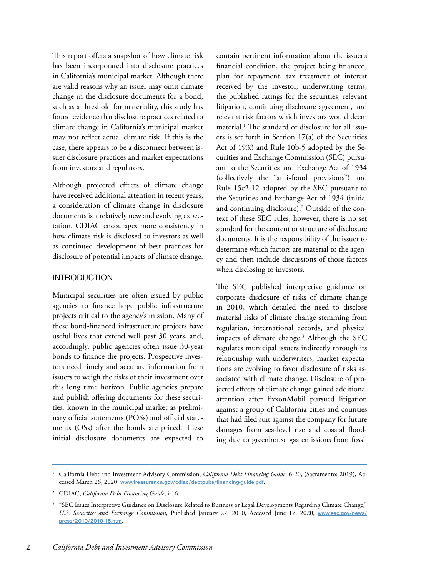This report offers a snapshot of how climate risk has been incorporated into disclosure practices in California's municipal market. Although there are valid reasons why an issuer may omit climate change in the disclosure documents for a bond, such as a threshold for materiality, this study has found evidence that disclosure practices related to climate change in California's municipal market may not reflect actual climate risk. If this is the case, there appears to be a disconnect between issuer disclosure practices and market expectations from investors and regulators.

Although projected effects of climate change have received additional attention in recent years, a consideration of climate change in disclosure documents is a relatively new and evolving expectation. CDIAC encourages more consistency in how climate risk is disclosed to investors as well as continued development of best practices for disclosure of potential impacts of climate change.

### INTRODUCTION

Municipal securities are often issued by public agencies to finance large public infrastructure projects critical to the agency's mission. Many of these bond-financed infrastructure projects have useful lives that extend well past 30 years, and, accordingly, public agencies often issue 30-year bonds to finance the projects. Prospective investors need timely and accurate information from issuers to weigh the risks of their investment over this long time horizon. Public agencies prepare and publish offering documents for these securities, known in the municipal market as preliminary official statements (POSs) and official statements (OSs) after the bonds are priced. These initial disclosure documents are expected to

contain pertinent information about the issuer's financial condition, the project being financed, plan for repayment, tax treatment of interest received by the investor, underwriting terms, the published ratings for the securities, relevant litigation, continuing disclosure agreement, and relevant risk factors which investors would deem material.1 The standard of disclosure for all issuers is set forth in Section 17(a) of the Securities Act of 1933 and Rule 10b-5 adopted by the Securities and Exchange Commission (SEC) pursuant to the Securities and Exchange Act of 1934 (collectively the "anti-fraud provisions") and Rule 15c2-12 adopted by the SEC pursuant to the Securities and Exchange Act of 1934 (initial and continuing disclosure).2 Outside of the context of these SEC rules, however, there is no set standard for the content or structure of disclosure documents. It is the responsibility of the issuer to determine which factors are material to the agency and then include discussions of those factors when disclosing to investors.

The SEC published interpretive guidance on corporate disclosure of risks of climate change in 2010, which detailed the need to disclose material risks of climate change stemming from regulation, international accords, and physical impacts of climate change.3 Although the SEC regulates municipal issuers indirectly through its relationship with underwriters, market expectations are evolving to favor disclosure of risks associated with climate change. Disclosure of projected effects of climate change gained additional attention after ExxonMobil pursued litigation against a group of California cities and counties that had filed suit against the company for future damages from sea-level rise and coastal flooding due to greenhouse gas emissions from fossil

<sup>1</sup> California Debt and Investment Advisory Commission, *California Debt Financing Guide*, 6-20, (Sacramento: 2019), Accessed March 26, 2020, **[www.treasurer.ca.gov/cdiac/debtpubs/financing-guide.pdf](http://www.treasurer.ca.gov/cdiac/debtpubs/financing-guide.pdf)**.

<sup>2</sup> CDIAC, *California Debt Financing Guide*, i-16.

<sup>&</sup>lt;sup>3</sup> "SEC Issues Interpretive Guidance on Disclosure Related to Business or Legal Developments Regarding Climate Change," *U.S. Securities and Exchange Commission*, Published January 27, 2010, Accessed June 17, 2020, **[www.sec.gov/news/](http://www.sec.gov/news/press/2010/2010-15.htm) [press/2010/2010-15.htm](http://www.sec.gov/news/press/2010/2010-15.htm)**.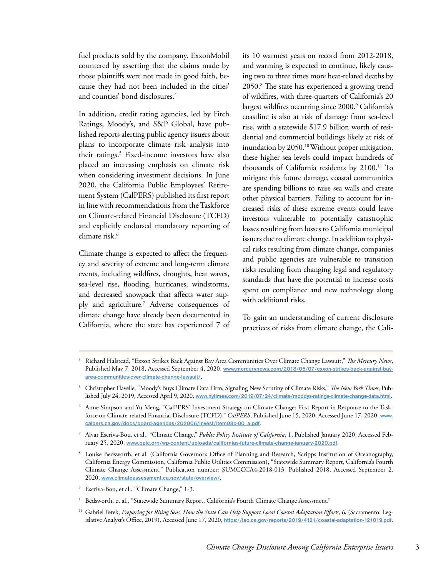fuel products sold by the company. ExxonMobil countered by asserting that the claims made by those plaintiffs were not made in good faith, because they had not been included in the cities' and counties' bond disclosures.<sup>4</sup>

In addition, credit rating agencies, led by Fitch Ratings, Moody's, and S&P Global, have published reports alerting public agency issuers about plans to incorporate climate risk analysis into their ratings.5 Fixed-income investors have also placed an increasing emphasis on climate risk when considering investment decisions. In June 2020, the California Public Employees' Retirement System (CalPERS) published its first report in line with recommendations from the Taskforce on Climate-related Financial Disclosure (TCFD) and explicitly endorsed mandatory reporting of climate risk.<sup>6</sup>

Climate change is expected to affect the frequency and severity of extreme and long-term climate events, including wildfires, droughts, heat waves, sea-level rise, flooding, hurricanes, windstorms, and decreased snowpack that affects water supply and agriculture.7 Adverse consequences of climate change have already been documented in California, where the state has experienced 7 of

its 10 warmest years on record from 2012-2018, and warming is expected to continue, likely causing two to three times more heat-related deaths by 2050.8 The state has experienced a growing trend of wildfires, with three-quarters of California's 20 largest wildfires occurring since 2000.<sup>9</sup> California's coastline is also at risk of damage from sea-level rise, with a statewide \$17.9 billion worth of residential and commercial buildings likely at risk of inundation by 2050.<sup>10</sup> Without proper mitigation, these higher sea levels could impact hundreds of thousands of California residents by 2100.<sup>11</sup> To mitigate this future damage, coastal communities are spending billions to raise sea walls and create other physical barriers. Failing to account for increased risks of these extreme events could leave investors vulnerable to potentially catastrophic losses resulting from losses to California municipal issuers due to climate change. In addition to physical risks resulting from climate change, companies and public agencies are vulnerable to transition risks resulting from changing legal and regulatory standards that have the potential to increase costs spent on compliance and new technology along with additional risks.

To gain an understanding of current disclosure practices of risks from climate change, the Cali-

<sup>4</sup> Richard Halstead, "Exxon Strikes Back Against Bay Area Communities Over Climate Change Lawsuit," *The Mercury News*, Published May 7, 2018, Accessed September 4, 2020, **[www.mercurynews.com/2018/05/07/exxon-strikes-back-against-bay](http://www.mercurynews.com/2018/05/07/exxon-strikes-back-against-bay-area-communities-over-climate-change-l)[area-communities-over-climate-change-lawsuit/](http://www.mercurynews.com/2018/05/07/exxon-strikes-back-against-bay-area-communities-over-climate-change-l)**.

<sup>5</sup> Christopher Flavelle, "Moody's Buys Climate Data Firm, Signaling New Scrutiny of Climate Risks," *The New York Times*, Published July 24, 2019, Accessed April 9, 2020, **[www.nytimes.com/2019/07/24/climate/moodys-ratings-climate-change-data.html](http://www.nytimes.com/2019/07/24/climate/moodys-ratings-climate-change-data.html)**.

<sup>6</sup> Anne Simpson and Yu Meng, "CalPERS' Investment Strategy on Climate Change: First Report in Response to the Taskforce on Climate-related Financial Disclosure (TCFD)," *CalPERS*, Published June 15, 2020, Accessed June 17, 2020, **[www.](http://www.calpers.ca.gov/docs/board-agendas/202006/invest/item08c-00_a.pdf) [calpers.ca.gov/docs/board-agendas/202006/invest/item08c-00\\_a.pdf](http://www.calpers.ca.gov/docs/board-agendas/202006/invest/item08c-00_a.pdf)**.

<sup>7</sup> Alvar Escriva-Bou, et al., "Climate Change," *Public Policy Institute of California*, 1, Published January 2020, Accessed February 25, 2020, **[www.ppic.org/wp-content/uploads/californias-future-climate-change-january-2020.pdf](http://www.ppic.org/wp-content/uploads/californias-future-climate-change-january-2020.pdf)**.

Louise Bedsworth, et al. (California Governor's Office of Planning and Research, Scripps Institution of Oceanography, California Energy Commission, California Public Utilities Commission), "Statewide Summary Report, California's Fourth Climate Change Assessment," Publication number: SUMCCCA4-2018-013, Published 2018, Accessed September 2, 2020, **[www.climateassessment.ca.gov/state/overview/](http://www.climateassessment.ca.gov/state/overview/)**.

<sup>9</sup> Escriva-Bou, et al., "Climate Change," 1-3.

<sup>&</sup>lt;sup>10</sup> Bedsworth, et al., "Statewide Summary Report, California's Fourth Climate Change Assessment."

<sup>&</sup>lt;sup>11</sup> Gabriel Petek, *Preparing for Rising Seas: How the State Can Help Support Local Coastal Adaptation Efforts, 6, (Sacramento: Leg*islative Analyst's Office, 2019), Accessed June 17, 2020, **<https://lao.ca.gov/reports/2019/4121/coastal-adaptation-121019.pdf>**.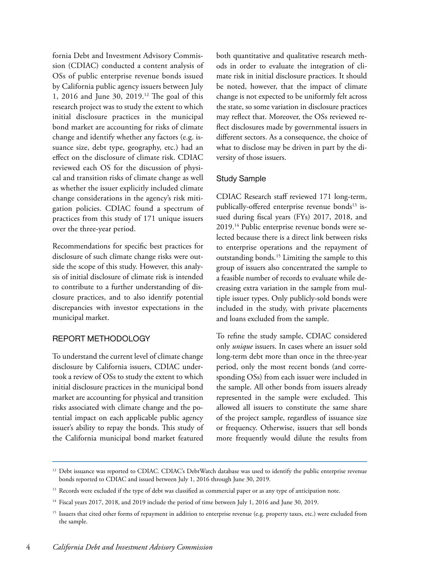fornia Debt and Investment Advisory Commission (CDIAC) conducted a content analysis of OSs of public enterprise revenue bonds issued by California public agency issuers between July 1, 2016 and June 30, 2019.12 The goal of this research project was to study the extent to which initial disclosure practices in the municipal bond market are accounting for risks of climate change and identify whether any factors (e.g. issuance size, debt type, geography, etc.) had an effect on the disclosure of climate risk. CDIAC reviewed each OS for the discussion of physical and transition risks of climate change as well as whether the issuer explicitly included climate change considerations in the agency's risk mitigation policies. CDIAC found a spectrum of practices from this study of 171 unique issuers over the three-year period.

Recommendations for specific best practices for disclosure of such climate change risks were outside the scope of this study. However, this analysis of initial disclosure of climate risk is intended to contribute to a further understanding of disclosure practices, and to also identify potential discrepancies with investor expectations in the municipal market.

## REPORT METHODOLOGY

To understand the current level of climate change disclosure by California issuers, CDIAC undertook a review of OSs to study the extent to which initial disclosure practices in the municipal bond market are accounting for physical and transition risks associated with climate change and the potential impact on each applicable public agency issuer's ability to repay the bonds. This study of the California municipal bond market featured

both quantitative and qualitative research methods in order to evaluate the integration of climate risk in initial disclosure practices. It should be noted, however, that the impact of climate change is not expected to be uniformly felt across the state, so some variation in disclosure practices may reflect that. Moreover, the OSs reviewed reflect disclosures made by governmental issuers in different sectors. As a consequence, the choice of what to disclose may be driven in part by the diversity of those issuers.

### Study Sample

CDIAC Research staff reviewed 171 long-term, publically-offered enterprise revenue bonds<sup>13</sup> issued during fiscal years (FYs) 2017, 2018, and 2019.14 Public enterprise revenue bonds were selected because there is a direct link between risks to enterprise operations and the repayment of outstanding bonds.<sup>15</sup> Limiting the sample to this group of issuers also concentrated the sample to a feasible number of records to evaluate while decreasing extra variation in the sample from multiple issuer types. Only publicly-sold bonds were included in the study, with private placements and loans excluded from the sample.

To refine the study sample, CDIAC considered only *unique* issuers. In cases where an issuer sold long-term debt more than once in the three-year period, only the most recent bonds (and corresponding OSs) from each issuer were included in the sample. All other bonds from issuers already represented in the sample were excluded. This allowed all issuers to constitute the same share of the project sample, regardless of issuance size or frequency. Otherwise, issuers that sell bonds more frequently would dilute the results from

<sup>&</sup>lt;sup>12</sup> Debt issuance was reported to CDIAC. CDIAC's DebtWatch database was used to identify the public enterprise revenue bonds reported to CDIAC and issued between July 1, 2016 through June 30, 2019.

<sup>&</sup>lt;sup>13</sup> Records were excluded if the type of debt was classified as commercial paper or as any type of anticipation note.

<sup>&</sup>lt;sup>14</sup> Fiscal years 2017, 2018, and 2019 include the period of time between July 1, 2016 and June 30, 2019.

<sup>&</sup>lt;sup>15</sup> Issuers that cited other forms of repayment in addition to enterprise revenue (e.g. property taxes, etc.) were excluded from the sample.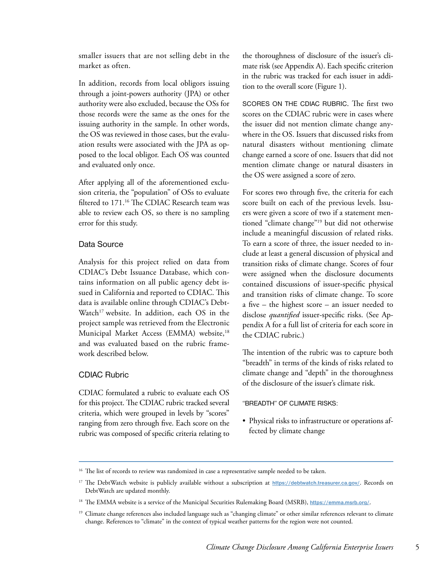smaller issuers that are not selling debt in the market as often.

In addition, records from local obligors issuing through a joint-powers authority (JPA) or other authority were also excluded, because the OSs for those records were the same as the ones for the issuing authority in the sample. In other words, the OS was reviewed in those cases, but the evaluation results were associated with the JPA as opposed to the local obligor. Each OS was counted and evaluated only once.

After applying all of the aforementioned exclusion criteria, the "population" of OSs to evaluate filtered to 171.16 The CDIAC Research team was able to review each OS, so there is no sampling error for this study.

### Data Source

Analysis for this project relied on data from CDIAC's Debt Issuance Database, which contains information on all public agency debt issued in California and reported to CDIAC. This data is available online through CDIAC's Debt-Watch<sup>17</sup> website. In addition, each OS in the project sample was retrieved from the Electronic Municipal Market Access (EMMA) website,<sup>18</sup> and was evaluated based on the rubric framework described below.

## CDIAC Rubric

CDIAC formulated a rubric to evaluate each OS for this project. The CDIAC rubric tracked several criteria, which were grouped in levels by "scores" ranging from zero through five. Each score on the rubric was composed of specific criteria relating to

the thoroughness of disclosure of the issuer's climate risk (see Appendix A). Each specific criterion in the rubric was tracked for each issuer in addition to the overall score (Figure 1).

SCORES ON THE CDIAC RUBRIC. The first two scores on the CDIAC rubric were in cases where the issuer did not mention climate change anywhere in the OS. Issuers that discussed risks from natural disasters without mentioning climate change earned a score of one. Issuers that did not mention climate change or natural disasters in the OS were assigned a score of zero.

For scores two through five, the criteria for each score built on each of the previous levels. Issuers were given a score of two if a statement mentioned "climate change"19 but did not otherwise include a meaningful discussion of related risks. To earn a score of three, the issuer needed to include at least a general discussion of physical and transition risks of climate change. Scores of four were assigned when the disclosure documents contained discussions of issuer-specific physical and transition risks of climate change. To score a five – the highest score – an issuer needed to disclose *quantified* issuer-specific risks. (See Appendix A for a full list of criteria for each score in the CDIAC rubric.)

The intention of the rubric was to capture both "breadth" in terms of the kinds of risks related to climate change and "depth" in the thoroughness of the disclosure of the issuer's climate risk.

#### "BREADTH" OF CLIMATE RISKS:

• Physical risks to infrastructure or operations affected by climate change

<sup>&</sup>lt;sup>16</sup> The list of records to review was randomized in case a representative sample needed to be taken.

<sup>&</sup>lt;sup>17</sup> The DebtWatch website is publicly available without a subscription at **<https://debtwatch.treasurer.ca.gov/>**. Records on DebtWatch are updated monthly.

<sup>18</sup> The EMMA website is a service of the Municipal Securities Rulemaking Board (MSRB), **<https://emma.msrb.org/>**.

<sup>&</sup>lt;sup>19</sup> Climate change references also included language such as "changing climate" or other similar references relevant to climate change. References to "climate" in the context of typical weather patterns for the region were not counted.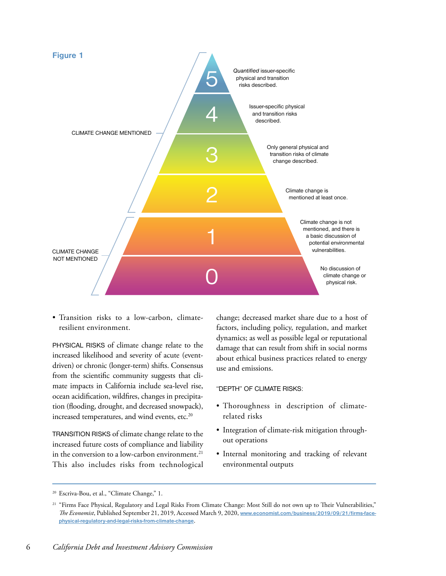

• Transition risks to a low-carbon, climateresilient environment.

PHYSICAL RISKS of climate change relate to the increased likelihood and severity of acute (eventdriven) or chronic (longer-term) shifts. Consensus from the scientific community suggests that climate impacts in California include sea-level rise, ocean acidification, wildfires, changes in precipitation (flooding, drought, and decreased snowpack), increased temperatures, and wind events, etc.<sup>20</sup>

TRANSITION RISKS of climate change relate to the increased future costs of compliance and liability in the conversion to a low-carbon environment.<sup>21</sup> This also includes risks from technological

change; decreased market share due to a host of factors, including policy, regulation, and market dynamics; as well as possible legal or reputational damage that can result from shift in social norms about ethical business practices related to energy use and emissions.

"DEPTH" OF CLIMATE RISKS:

- Thoroughness in description of climaterelated risks
- Integration of climate-risk mitigation throughout operations
- Internal monitoring and tracking of relevant environmental outputs

<sup>20</sup> Escriva-Bou, et al., "Climate Change," 1.

<sup>&</sup>lt;sup>21</sup> "Firms Face Physical, Regulatory and Legal Risks From Climate Change: Most Still do not own up to Their Vulnerabilities," *The Economist*, Published September 21, 2019, Accessed March 9, 2020, **[www.economist.com/business/2019/09/21/firms-face](http://www.economist.com/business/2019/09/21/firms-face-physical-regulatory-and-legal-risks-from-climate-ch)[physical-regulatory-and-legal-risks-from-climate-change](http://www.economist.com/business/2019/09/21/firms-face-physical-regulatory-and-legal-risks-from-climate-ch)**.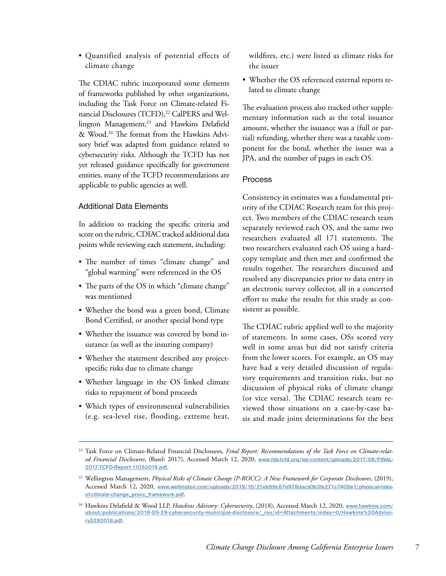• Quantified analysis of potential effects of climate change

The CDIAC rubric incorporated some elements of frameworks published by other organizations, including the Task Force on Climate-related Financial Disclosures (TCFD),<sup>22</sup> CalPERS and Wellington Management,<sup>23</sup> and Hawkins Delafield & Wood.24 The format from the Hawkins Advisory brief was adapted from guidance related to cybersecurity risks. Although the TCFD has not yet released guidance specifically for government entities, many of the TCFD recommendations are applicable to public agencies as well.

### Additional Data Elements

In addition to tracking the specific criteria and score on the rubric, CDIAC tracked additional data points while reviewing each statement, including:

- The number of times "climate change" and "global warming" were referenced in the OS
- The parts of the OS in which "climate change" was mentioned
- Whether the bond was a green bond, Climate Bond Certified, or another special bond type
- Whether the issuance was covered by bond insurance (as well as the insuring company)
- Whether the statement described any projectspecific risks due to climate change
- Whether language in the OS linked climate risks to repayment of bond proceeds
- Which types of environmental vulnerabilities (e.g. sea-level rise, flooding, extreme heat,

wildfires, etc.) were listed as climate risks for the issuer

• Whether the OS referenced external reports related to climate change

The evaluation process also tracked other supplementary information such as the total issuance amount, whether the issuance was a (full or partial) refunding, whether there was a taxable component for the bond, whether the issuer was a JPA, and the number of pages in each OS.

### Process

Consistency in estimates was a fundamental priority of the CDIAC Research team for this project. Two members of the CDIAC research team separately reviewed each OS, and the same two researchers evaluated all 171 statements. The two researchers evaluated each OS using a hardcopy template and then met and confirmed the results together. The researchers discussed and resolved any discrepancies prior to data entry in an electronic survey collector, all in a concerted effort to make the results for this study as consistent as possible.

The CDIAC rubric applied well to the majority of statements. In some cases, OSs scored very well in some areas but did not satisfy criteria from the lower scores. For example, an OS may have had a very detailed discussion of regulatory requirements and transition risks, but no discussion of physical risks of climate change (or vice versa). The CDIAC research team reviewed those situations on a case-by-case basis and made joint determinations for the best

<sup>22</sup> Task Force on Climate-Related Financial Disclosures, *Final Report: Recommendations of the Task Force on Climate-related Financial Disclosures*, (Basel: 2017), Accessed March 12, 2020, **[www.fsb-tcfd.org/wp-content/uploads/2017/06/FINAL-](http://www.fsb-tcfd.org/wp-content/uploads/2017/06/FINAL-2017-TCFD-Report-11052018.pdf)[2017-TCFD-Report-11052018.pdf](http://www.fsb-tcfd.org/wp-content/uploads/2017/06/FINAL-2017-TCFD-Report-11052018.pdf)**.

<sup>23</sup> Wellington Management, *Physical Risks of Climate Change (P-ROCC): A New Framework for Corporate Disclosures*, (2019), Accessed March 12, 2020, **[www.wellington.com/uploads/2019/10/21eb89c87e979daca0b3fe271c7408e1/physical-risks](http://www.wellington.com/uploads/2019/10/21eb89c87e979daca0b3fe271c7408e1/physical-risks-of-climate-change_procc_framework.pdf)[of-climate-change\\_procc\\_framework.pdf](http://www.wellington.com/uploads/2019/10/21eb89c87e979daca0b3fe271c7408e1/physical-risks-of-climate-change_procc_framework.pdf)**.

<sup>24</sup> Hawkins Delafield & Wood LLP, *Hawkins Advisory: Cybersecurity*, (2018), Accessed March 12, 2020, **[www.hawkins.com/](http://www.hawkins.com/about/publications/2018-05-29-cybersecurity-municipal-disclosure/_res/id=Attachments/index=0/Hawkins%20Advisory5292018.pdf) [about/publications/2018-05-29-cybersecurity-municipal-disclosure/\\_res/id=Attachments/index=0/Hawkins%20Adviso](http://www.hawkins.com/about/publications/2018-05-29-cybersecurity-municipal-disclosure/_res/id=Attachments/index=0/Hawkins%20Advisory5292018.pdf)[ry5292018.pdf](http://www.hawkins.com/about/publications/2018-05-29-cybersecurity-municipal-disclosure/_res/id=Attachments/index=0/Hawkins%20Advisory5292018.pdf)**.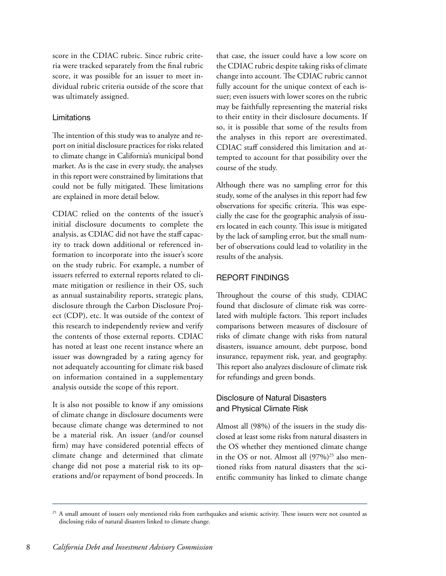score in the CDIAC rubric. Since rubric criteria were tracked separately from the final rubric score, it was possible for an issuer to meet individual rubric criteria outside of the score that was ultimately assigned.

## Limitations

The intention of this study was to analyze and report on initial disclosure practices for risks related to climate change in California's municipal bond market. As is the case in every study, the analyses in this report were constrained by limitations that could not be fully mitigated. These limitations are explained in more detail below.

CDIAC relied on the contents of the issuer's initial disclosure documents to complete the analysis, as CDIAC did not have the staff capacity to track down additional or referenced information to incorporate into the issuer's score on the study rubric. For example, a number of issuers referred to external reports related to climate mitigation or resilience in their OS, such as annual sustainability reports, strategic plans, disclosure through the Carbon Disclosure Project (CDP), etc. It was outside of the context of this research to independently review and verify the contents of those external reports. CDIAC has noted at least one recent instance where an issuer was downgraded by a rating agency for not adequately accounting for climate risk based on information contained in a supplementary analysis outside the scope of this report.

It is also not possible to know if any omissions of climate change in disclosure documents were because climate change was determined to not be a material risk. An issuer (and/or counsel firm) may have considered potential effects of climate change and determined that climate change did not pose a material risk to its operations and/or repayment of bond proceeds. In

that case, the issuer could have a low score on the CDIAC rubric despite taking risks of climate change into account. The CDIAC rubric cannot fully account for the unique context of each issuer; even issuers with lower scores on the rubric may be faithfully representing the material risks to their entity in their disclosure documents. If so, it is possible that some of the results from the analyses in this report are overestimated. CDIAC staff considered this limitation and attempted to account for that possibility over the course of the study.

Although there was no sampling error for this study, some of the analyses in this report had few observations for specific criteria. This was especially the case for the geographic analysis of issuers located in each county. This issue is mitigated by the lack of sampling error, but the small number of observations could lead to volatility in the results of the analysis.

### REPORT FINDINGS

Throughout the course of this study, CDIAC found that disclosure of climate risk was correlated with multiple factors. This report includes comparisons between measures of disclosure of risks of climate change with risks from natural disasters, issuance amount, debt purpose, bond insurance, repayment risk, year, and geography. This report also analyzes disclosure of climate risk for refundings and green bonds.

## Disclosure of Natural Disasters and Physical Climate Risk

Almost all (98%) of the issuers in the study disclosed at least some risks from natural disasters in the OS whether they mentioned climate change in the OS or not. Almost all  $(97%)^{25}$  also mentioned risks from natural disasters that the scientific community has linked to climate change

<sup>&</sup>lt;sup>25</sup> A small amount of issuers only mentioned risks from earthquakes and seismic activity. These issuers were not counted as disclosing risks of natural disasters linked to climate change.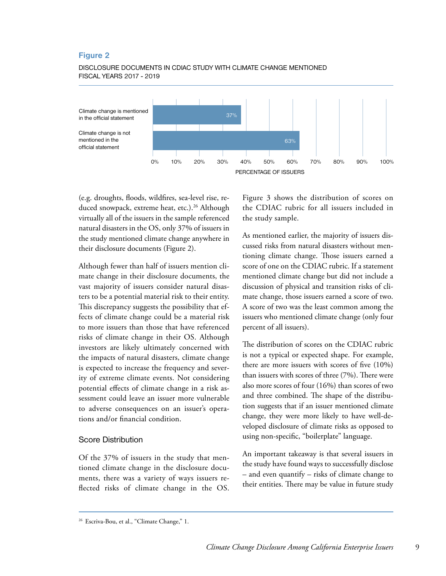#### DISCLOSURE DOCUMENTS IN CDIAC STUDY WITH CLIMATE CHANGE MENTIONED FISCAL YEARS 2017 - 2019



(e.g. droughts, floods, wildfires, sea-level rise, reduced snowpack, extreme heat, etc.).<sup>26</sup> Although virtually all of the issuers in the sample referenced natural disasters in the OS, only 37% of issuers in the study mentioned climate change anywhere in their disclosure documents (Figure 2).

Although fewer than half of issuers mention climate change in their disclosure documents, the vast majority of issuers consider natural disasters to be a potential material risk to their entity. This discrepancy suggests the possibility that effects of climate change could be a material risk to more issuers than those that have referenced risks of climate change in their OS. Although investors are likely ultimately concerned with the impacts of natural disasters, climate change is expected to increase the frequency and severity of extreme climate events. Not considering potential effects of climate change in a risk assessment could leave an issuer more vulnerable to adverse consequences on an issuer's operations and/or financial condition.

#### Score Distribution

Of the 37% of issuers in the study that mentioned climate change in the disclosure documents, there was a variety of ways issuers reflected risks of climate change in the OS. Figure 3 shows the distribution of scores on the CDIAC rubric for all issuers included in the study sample.

As mentioned earlier, the majority of issuers discussed risks from natural disasters without mentioning climate change. Those issuers earned a score of one on the CDIAC rubric. If a statement mentioned climate change but did not include a discussion of physical and transition risks of climate change, those issuers earned a score of two. A score of two was the least common among the issuers who mentioned climate change (only four percent of all issuers).

The distribution of scores on the CDIAC rubric is not a typical or expected shape. For example, there are more issuers with scores of five (10%) than issuers with scores of three (7%). There were also more scores of four (16%) than scores of two and three combined. The shape of the distribution suggests that if an issuer mentioned climate change, they were more likely to have well-developed disclosure of climate risks as opposed to using non-specific, "boilerplate" language.

An important takeaway is that several issuers in the study have found ways to successfully disclose – and even quantify – risks of climate change to their entities. There may be value in future study

<sup>&</sup>lt;sup>26</sup> Escriva-Bou, et al., "Climate Change," 1.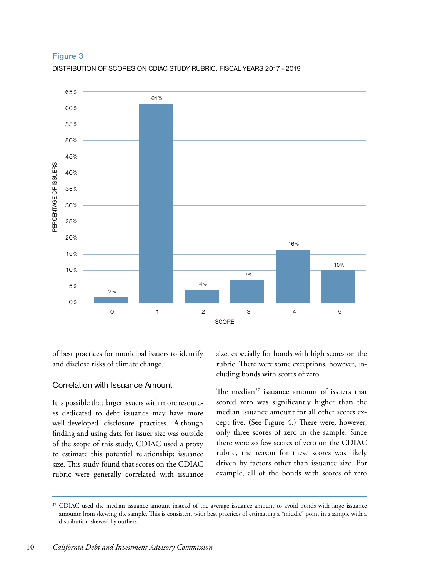

DISTRIBUTION OF SCORES ON CDIAC STUDY RUBRIC, FISCAL YEARS 2017 - 2019

of best practices for municipal issuers to identify and disclose risks of climate change.

### Correlation with Issuance Amount

It is possible that larger issuers with more resources dedicated to debt issuance may have more well-developed disclosure practices. Although finding and using data for issuer size was outside of the scope of this study, CDIAC used a proxy to estimate this potential relationship: issuance size. This study found that scores on the CDIAC rubric were generally correlated with issuance size, especially for bonds with high scores on the rubric. There were some exceptions, however, including bonds with scores of zero.

The median<sup>27</sup> issuance amount of issuers that scored zero was significantly higher than the median issuance amount for all other scores except five. (See Figure 4.) There were, however, only three scores of zero in the sample. Since there were so few scores of zero on the CDIAC rubric, the reason for these scores was likely driven by factors other than issuance size. For example, all of the bonds with scores of zero

<sup>&</sup>lt;sup>27</sup> CDIAC used the median issuance amount instead of the average issuance amount to avoid bonds with large issuance amounts from skewing the sample. This is consistent with best practices of estimating a "middle" point in a sample with a distribution skewed by outliers.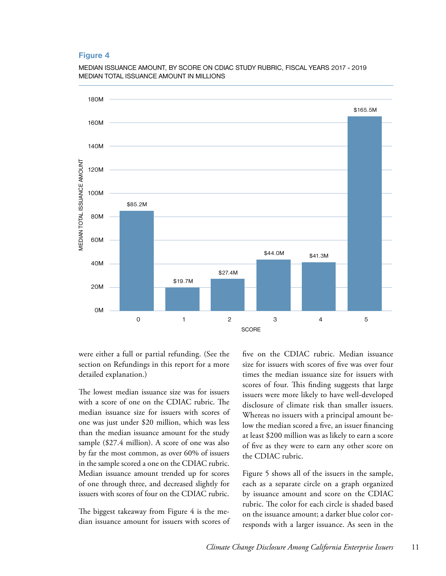



were either a full or partial refunding. (See the section on Refundings in this report for a more detailed explanation.)

The lowest median issuance size was for issuers with a score of one on the CDIAC rubric. The median issuance size for issuers with scores of one was just under \$20 million, which was less than the median issuance amount for the study sample (\$27.4 million). A score of one was also by far the most common, as over 60% of issuers in the sample scored a one on the CDIAC rubric. Median issuance amount trended up for scores of one through three, and decreased slightly for issuers with scores of four on the CDIAC rubric.

The biggest takeaway from Figure 4 is the median issuance amount for issuers with scores of five on the CDIAC rubric. Median issuance size for issuers with scores of five was over four times the median issuance size for issuers with scores of four. This finding suggests that large issuers were more likely to have well-developed disclosure of climate risk than smaller issuers. Whereas no issuers with a principal amount below the median scored a five, an issuer financing at least \$200 million was as likely to earn a score of five as they were to earn any other score on the CDIAC rubric.

Figure 5 shows all of the issuers in the sample, each as a separate circle on a graph organized by issuance amount and score on the CDIAC rubric. The color for each circle is shaded based on the issuance amount; a darker blue color corresponds with a larger issuance. As seen in the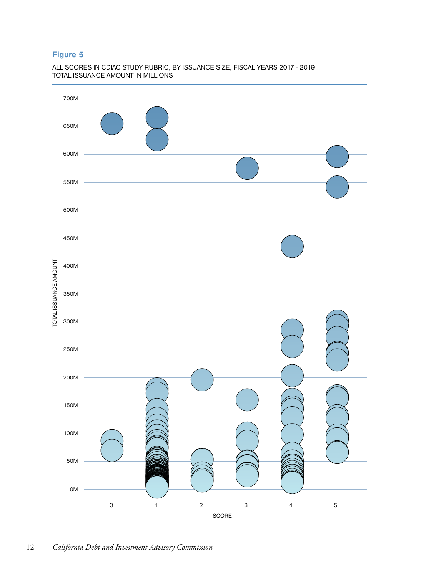ALL SCORES IN CDIAC STUDY RUBRIC, BY ISSUANCE SIZE, FISCAL YEARS 2017 - 2019 TOTAL ISSUANCE AMOUNT IN MILLIONS

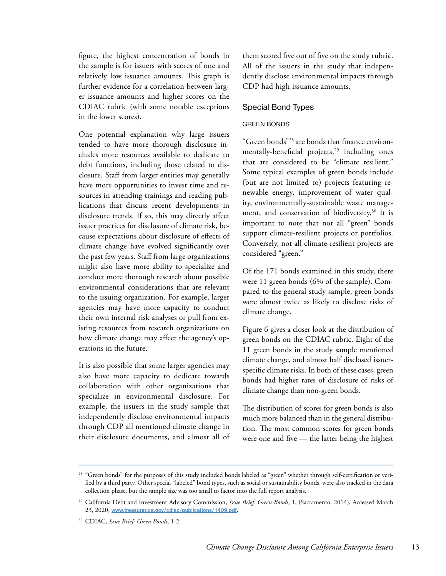figure, the highest concentration of bonds in the sample is for issuers with scores of one and relatively low issuance amounts. This graph is further evidence for a correlation between larger issuance amounts and higher scores on the CDIAC rubric (with some notable exceptions in the lower scores).

One potential explanation why large issuers tended to have more thorough disclosure includes more resources available to dedicate to debt functions, including those related to disclosure. Staff from larger entities may generally have more opportunities to invest time and resources in attending trainings and reading publications that discuss recent developments in disclosure trends. If so, this may directly affect issuer practices for disclosure of climate risk, because expectations about disclosure of effects of climate change have evolved significantly over the past few years. Staff from large organizations might also have more ability to specialize and conduct more thorough research about possible environmental considerations that are relevant to the issuing organization. For example, larger agencies may have more capacity to conduct their own internal risk analyses or pull from existing resources from research organizations on how climate change may affect the agency's operations in the future.

It is also possible that some larger agencies may also have more capacity to dedicate towards collaboration with other organizations that specialize in environmental disclosure. For example, the issuers in the study sample that independently disclose environmental impacts through CDP all mentioned climate change in their disclosure documents, and almost all of them scored five out of five on the study rubric. All of the issuers in the study that independently disclose environmental impacts through CDP had high issuance amounts.

### Special Bond Types

#### GREEN BONDS

"Green bonds"28 are bonds that finance environmentally-beneficial projects,<sup>29</sup> including ones that are considered to be "climate resilient." Some typical examples of green bonds include (but are not limited to) projects featuring renewable energy, improvement of water quality, environmentally-sustainable waste management, and conservation of biodiversity.<sup>30</sup> It is important to note that not all "green" bonds support climate-resilient projects or portfolios. Conversely, not all climate-resilient projects are considered "green."

Of the 171 bonds examined in this study, there were 11 green bonds (6% of the sample). Compared to the general study sample, green bonds were almost twice as likely to disclose risks of climate change.

Figure 6 gives a closer look at the distribution of green bonds on the CDIAC rubric. Eight of the 11 green bonds in the study sample mentioned climate change, and almost half disclosed issuerspecific climate risks. In both of these cases, green bonds had higher rates of disclosure of risks of climate change than non-green bonds.

The distribution of scores for green bonds is also much more balanced than in the general distribution. The most common scores for green bonds were one and five — the latter being the highest

<sup>&</sup>lt;sup>28</sup> "Green bonds" for the purposes of this study included bonds labeled as "green" whether through self-certification or verified by a third party. Other special "labeled" bond types, such as social or sustainability bonds, were also tracked in the data collection phase, but the sample size was too small to factor into the full report analysis.

<sup>29</sup> California Debt and Investment Advisory Commission, *Issue Brief: Green Bonds*, 1, (Sacramento: 2014), Accessed March 23, 2020, **[www.treasurer.ca.gov/cdiac/publications/1409.pdf](http://www.treasurer.ca.gov/cdiac/publications/1409.pdf)**.

<sup>30</sup> CDIAC, *Issue Brief: Green Bonds*, 1-2.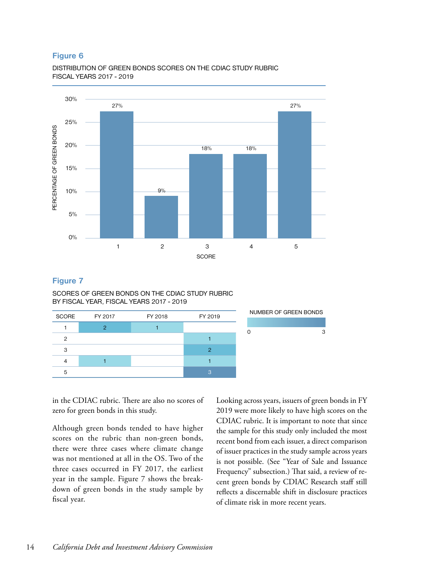DISTRIBUTION OF GREEN BONDS SCORES ON THE CDIAC STUDY RUBRIC FISCAL YEARS 2017 - 2019



### **Figure 7**

SCORES OF GREEN BONDS ON THE CDIAC STUDY RUBRIC BY FISCAL YEAR, FISCAL YEARS 2017 - 2019

| <b>SCORE</b> | FY 2017 | FY 2018 | FY 2019 | NUMBER OF GREEN BONDS |
|--------------|---------|---------|---------|-----------------------|
|              |         |         |         |                       |
| ◠            |         |         |         | з                     |
| 3            |         |         |         |                       |
|              |         |         |         |                       |
| ь            |         |         |         |                       |

in the CDIAC rubric. There are also no scores of zero for green bonds in this study.

Although green bonds tended to have higher scores on the rubric than non-green bonds, there were three cases where climate change was not mentioned at all in the OS. Two of the three cases occurred in FY 2017, the earliest year in the sample. Figure 7 shows the breakdown of green bonds in the study sample by fiscal year.

Looking across years, issuers of green bonds in FY 2019 were more likely to have high scores on the CDIAC rubric. It is important to note that since the sample for this study only included the most recent bond from each issuer, a direct comparison of issuer practices in the study sample across years is not possible. (See "Year of Sale and Issuance Frequency" subsection.) That said, a review of recent green bonds by CDIAC Research staff still reflects a discernable shift in disclosure practices of climate risk in more recent years.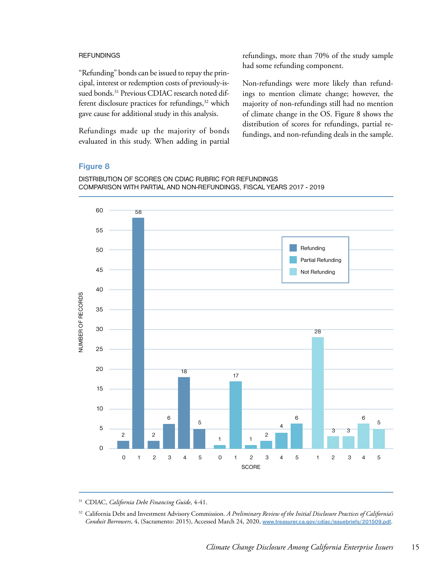#### **REFUNDINGS**

"Refunding" bonds can be issued to repay the principal, interest or redemption costs of previously-issued bonds.<sup>31</sup> Previous CDIAC research noted different disclosure practices for refundings,<sup>32</sup> which gave cause for additional study in this analysis.

Refundings made up the majority of bonds evaluated in this study. When adding in partial refundings, more than 70% of the study sample had some refunding component.

Non-refundings were more likely than refundings to mention climate change; however, the majority of non-refundings still had no mention of climate change in the OS. Figure 8 shows the distribution of scores for refundings, partial refundings, and non-refunding deals in the sample.

#### **Figure 8**





<sup>31</sup> CDIAC, *California Debt Financing Guide*, 4-41.

<sup>32</sup> California Debt and Investment Advisory Commission. *A Preliminary Review of the Initial Disclosure Practices of California's Conduit Borrowers*, 4, (Sacramento: 2015), Accessed March 24, 2020, **[www.treasurer.ca.gov/cdiac/issuebriefs/201509.pdf](http://www.treasurer.ca.gov/cdiac/issuebriefs/201509.pdf)**.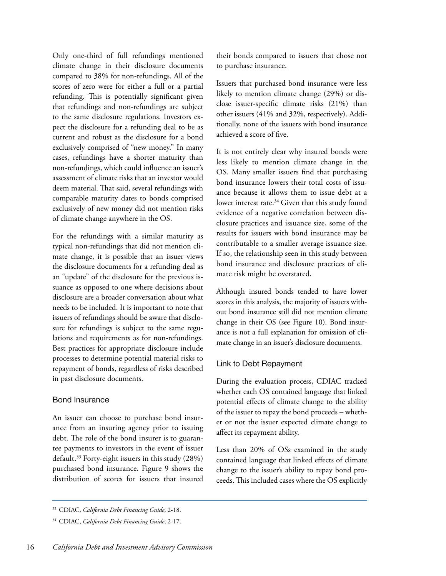Only one-third of full refundings mentioned climate change in their disclosure documents compared to 38% for non-refundings. All of the scores of zero were for either a full or a partial refunding. This is potentially significant given that refundings and non-refundings are subject to the same disclosure regulations. Investors expect the disclosure for a refunding deal to be as current and robust as the disclosure for a bond exclusively comprised of "new money." In many cases, refundings have a shorter maturity than non-refundings, which could influence an issuer's assessment of climate risks that an investor would deem material. That said, several refundings with comparable maturity dates to bonds comprised exclusively of new money did not mention risks of climate change anywhere in the OS.

For the refundings with a similar maturity as typical non-refundings that did not mention climate change, it is possible that an issuer views the disclosure documents for a refunding deal as an "update" of the disclosure for the previous issuance as opposed to one where decisions about disclosure are a broader conversation about what needs to be included. It is important to note that issuers of refundings should be aware that disclosure for refundings is subject to the same regulations and requirements as for non-refundings. Best practices for appropriate disclosure include processes to determine potential material risks to repayment of bonds, regardless of risks described in past disclosure documents.

### Bond Insurance

An issuer can choose to purchase bond insurance from an insuring agency prior to issuing debt. The role of the bond insurer is to guarantee payments to investors in the event of issuer default.<sup>33</sup> Forty-eight issuers in this study (28%) purchased bond insurance. Figure 9 shows the distribution of scores for issuers that insured

their bonds compared to issuers that chose not to purchase insurance.

Issuers that purchased bond insurance were less likely to mention climate change (29%) or disclose issuer-specific climate risks (21%) than other issuers (41% and 32%, respectively). Additionally, none of the issuers with bond insurance achieved a score of five.

It is not entirely clear why insured bonds were less likely to mention climate change in the OS. Many smaller issuers find that purchasing bond insurance lowers their total costs of issuance because it allows them to issue debt at a lower interest rate.<sup>34</sup> Given that this study found evidence of a negative correlation between disclosure practices and issuance size, some of the results for issuers with bond insurance may be contributable to a smaller average issuance size. If so, the relationship seen in this study between bond insurance and disclosure practices of climate risk might be overstated.

Although insured bonds tended to have lower scores in this analysis, the majority of issuers without bond insurance still did not mention climate change in their OS (see Figure 10). Bond insurance is not a full explanation for omission of climate change in an issuer's disclosure documents.

## Link to Debt Repayment

During the evaluation process, CDIAC tracked whether each OS contained language that linked potential effects of climate change to the ability of the issuer to repay the bond proceeds – whether or not the issuer expected climate change to affect its repayment ability.

Less than 20% of OSs examined in the study contained language that linked effects of climate change to the issuer's ability to repay bond proceeds. This included cases where the OS explicitly

<sup>33</sup> CDIAC, *California Debt Financing Guide*, 2-18.

<sup>34</sup> CDIAC, *California Debt Financing Guide*, 2-17.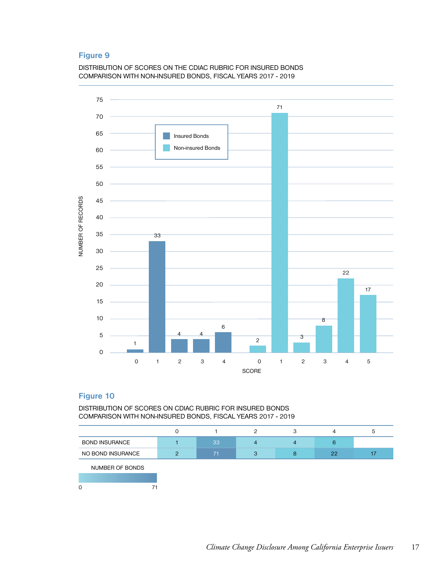DISTRIBUTION OF SCORES ON THE CDIAC RUBRIC FOR INSURED BONDS COMPARISON WITH NON-INSURED BONDS, FISCAL YEARS 2017 - 2019



# **Figure 10**

DISTRIBUTION OF SCORES ON CDIAC RUBRIC FOR INSURED BONDS COMPARISON WITH NON-INSURED BONDS, FISCAL YEARS 2017 - 2019

|                       |         |    |   |   | 4  | ь |
|-----------------------|---------|----|---|---|----|---|
| <b>BOND INSURANCE</b> |         | 33 | 4 |   | 6  |   |
| NO BOND INSURANCE     | $\circ$ | 71 | 3 | 8 | 22 |   |
| NUMBER OF BONDS       |         |    |   |   |    |   |
|                       |         |    |   |   |    |   |
| $\Omega$              |         |    |   |   |    |   |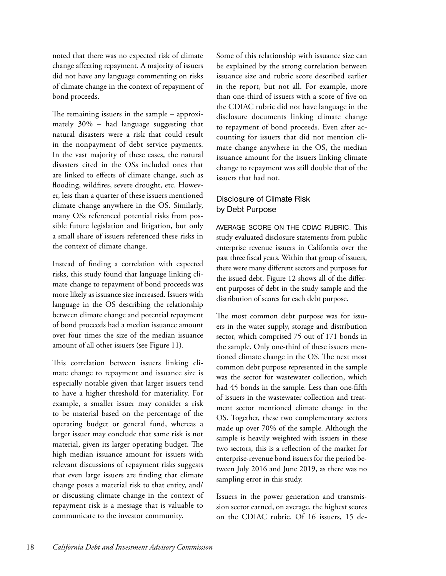noted that there was no expected risk of climate change affecting repayment. A majority of issuers did not have any language commenting on risks of climate change in the context of repayment of bond proceeds.

The remaining issuers in the sample – approximately 30% – had language suggesting that natural disasters were a risk that could result in the nonpayment of debt service payments. In the vast majority of these cases, the natural disasters cited in the OSs included ones that are linked to effects of climate change, such as flooding, wildfires, severe drought, etc. However, less than a quarter of these issuers mentioned climate change anywhere in the OS. Similarly, many OSs referenced potential risks from possible future legislation and litigation, but only a small share of issuers referenced these risks in the context of climate change.

Instead of finding a correlation with expected risks, this study found that language linking climate change to repayment of bond proceeds was more likely as issuance size increased. Issuers with language in the OS describing the relationship between climate change and potential repayment of bond proceeds had a median issuance amount over four times the size of the median issuance amount of all other issuers (see Figure 11).

This correlation between issuers linking climate change to repayment and issuance size is especially notable given that larger issuers tend to have a higher threshold for materiality. For example, a smaller issuer may consider a risk to be material based on the percentage of the operating budget or general fund, whereas a larger issuer may conclude that same risk is not material, given its larger operating budget. The high median issuance amount for issuers with relevant discussions of repayment risks suggests that even large issuers are finding that climate change poses a material risk to that entity, and/ or discussing climate change in the context of repayment risk is a message that is valuable to communicate to the investor community.

Some of this relationship with issuance size can be explained by the strong correlation between issuance size and rubric score described earlier in the report, but not all. For example, more than one-third of issuers with a score of five on the CDIAC rubric did not have language in the disclosure documents linking climate change to repayment of bond proceeds. Even after accounting for issuers that did not mention climate change anywhere in the OS, the median issuance amount for the issuers linking climate change to repayment was still double that of the issuers that had not.

# Disclosure of Climate Risk by Debt Purpose

AVERAGE SCORE ON THE CDIAC RUBRIC. This study evaluated disclosure statements from public enterprise revenue issuers in California over the past three fiscal years. Within that group of issuers, there were many different sectors and purposes for the issued debt. Figure 12 shows all of the different purposes of debt in the study sample and the distribution of scores for each debt purpose.

The most common debt purpose was for issuers in the water supply, storage and distribution sector, which comprised 75 out of 171 bonds in the sample. Only one-third of these issuers mentioned climate change in the OS. The next most common debt purpose represented in the sample was the sector for wastewater collection, which had 45 bonds in the sample. Less than one-fifth of issuers in the wastewater collection and treatment sector mentioned climate change in the OS. Together, these two complementary sectors made up over 70% of the sample. Although the sample is heavily weighted with issuers in these two sectors, this is a reflection of the market for enterprise-revenue bond issuers for the period between July 2016 and June 2019, as there was no sampling error in this study.

Issuers in the power generation and transmission sector earned, on average, the highest scores on the CDIAC rubric. Of 16 issuers, 15 de-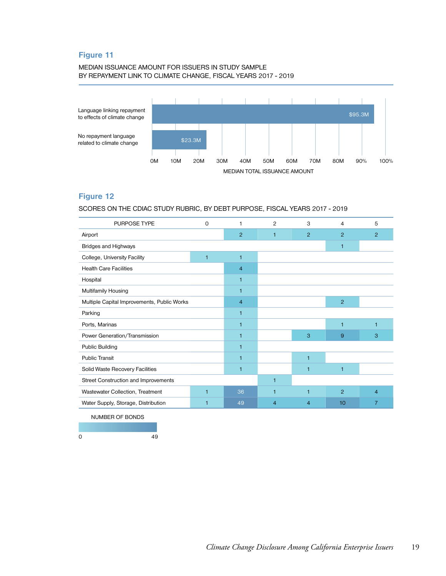#### MEDIAN ISSUANCE AMOUNT FOR ISSUERS IN STUDY SAMPLE BY REPAYMENT LINK TO CLIMATE CHANGE, FISCAL YEARS 2017 - 2019



## **Figure 12**

SCORES ON THE CDIAC STUDY RUBRIC, BY DEBT PURPOSE, FISCAL YEARS 2017 - 2019

| <b>PURPOSE TYPE</b><br>0                         |                | $\mathbf{1}$   | 2              | 3              | 4              | 5              |
|--------------------------------------------------|----------------|----------------|----------------|----------------|----------------|----------------|
| Airport                                          | 2              | $\mathbf{1}$   | $\overline{2}$ | $\overline{2}$ | 2              |                |
| Bridges and Highways                             |                |                |                | $\mathbf{1}$   |                |                |
| College, University Facility<br>$\mathbf{1}$     |                | $\mathbf{1}$   |                |                |                |                |
| <b>Health Care Facilities</b>                    |                | $\overline{4}$ |                |                |                |                |
| Hospital                                         | $\mathbf{1}$   |                |                |                |                |                |
| Multifamily Housing                              | $\mathbf{1}$   |                |                |                |                |                |
| Multiple Capital Improvements, Public Works      | $\overline{4}$ |                |                | 2              |                |                |
| Parking                                          | $\mathbf{1}$   |                |                |                |                |                |
| Ports, Marinas                                   | 1              |                |                | 1              | $\overline{1}$ |                |
| Power Generation/Transmission                    | 1              |                | 3              | 9              | 3              |                |
| <b>Public Building</b>                           | $\mathbf{1}$   |                |                |                |                |                |
| <b>Public Transit</b>                            | $\mathbf{1}$   |                | 1              |                |                |                |
| Solid Waste Recovery Facilities                  | $\mathbf{1}$   |                | 1              | $\mathbf{1}$   |                |                |
| Street Construction and Improvements             |                | 1              |                |                |                |                |
| Wastewater Collection, Treatment<br>$\mathbf{1}$ |                | 36             | 1              | 1              | $\overline{2}$ | $\overline{4}$ |
| Water Supply, Storage, Distribution<br>1         |                | 49             | $\overline{4}$ | $\overline{4}$ | 10             | $\overline{7}$ |
| NILIMBED OF BONDS                                |                |                |                |                |                |                |

NUMBER OF BONDS

0 49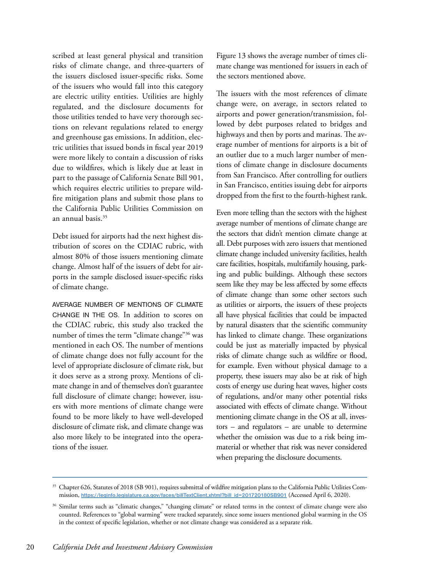scribed at least general physical and transition risks of climate change, and three-quarters of the issuers disclosed issuer-specific risks. Some of the issuers who would fall into this category are electric utility entities. Utilities are highly regulated, and the disclosure documents for those utilities tended to have very thorough sections on relevant regulations related to energy and greenhouse gas emissions. In addition, electric utilities that issued bonds in fiscal year 2019 were more likely to contain a discussion of risks due to wildfires, which is likely due at least in part to the passage of California Senate Bill 901, which requires electric utilities to prepare wildfire mitigation plans and submit those plans to the California Public Utilities Commission on an annual basis.35

Debt issued for airports had the next highest distribution of scores on the CDIAC rubric, with almost 80% of those issuers mentioning climate change. Almost half of the issuers of debt for airports in the sample disclosed issuer-specific risks of climate change.

AVERAGE NUMBER OF MENTIONS OF CLIMATE CHANGE IN THE OS. In addition to scores on the CDIAC rubric, this study also tracked the number of times the term "climate change"<sup>36</sup> was mentioned in each OS. The number of mentions of climate change does not fully account for the level of appropriate disclosure of climate risk, but it does serve as a strong proxy. Mentions of climate change in and of themselves don't guarantee full disclosure of climate change; however, issuers with more mentions of climate change were found to be more likely to have well-developed disclosure of climate risk, and climate change was also more likely to be integrated into the operations of the issuer.

Figure 13 shows the average number of times climate change was mentioned for issuers in each of the sectors mentioned above.

The issuers with the most references of climate change were, on average, in sectors related to airports and power generation/transmission, followed by debt purposes related to bridges and highways and then by ports and marinas. The average number of mentions for airports is a bit of an outlier due to a much larger number of mentions of climate change in disclosure documents from San Francisco. After controlling for outliers in San Francisco, entities issuing debt for airports dropped from the first to the fourth-highest rank.

Even more telling than the sectors with the highest average number of mentions of climate change are the sectors that didn't mention climate change at all. Debt purposes with zero issuers that mentioned climate change included university facilities, health care facilities, hospitals, multifamily housing, parking and public buildings. Although these sectors seem like they may be less affected by some effects of climate change than some other sectors such as utilities or airports, the issuers of these projects all have physical facilities that could be impacted by natural disasters that the scientific community has linked to climate change. These organizations could be just as materially impacted by physical risks of climate change such as wildfire or flood, for example. Even without physical damage to a property, these issuers may also be at risk of high costs of energy use during heat waves, higher costs of regulations, and/or many other potential risks associated with effects of climate change. Without mentioning climate change in the OS at all, investors – and regulators – are unable to determine whether the omission was due to a risk being immaterial or whether that risk was never considered when preparing the disclosure documents.

<sup>&</sup>lt;sup>35</sup> Chapter 626, Statutes of 2018 (SB 901), requires submittal of wildfire mitigation plans to the California Public Utilities Commission, **[https://leginfo.legislature.ca.gov/faces/billTextClient.xhtml?bill\\_id=201720180SB901](https://leginfo.legislature.ca.gov/faces/billTextClient.xhtml?bill_id=201720180SB901)** (Accessed April 6, 2020).

<sup>36</sup> Similar terms such as "climatic changes," "changing climate" or related terms in the context of climate change were also counted. References to "global warming" were tracked separately, since some issuers mentioned global warming in the OS in the context of specific legislation, whether or not climate change was considered as a separate risk.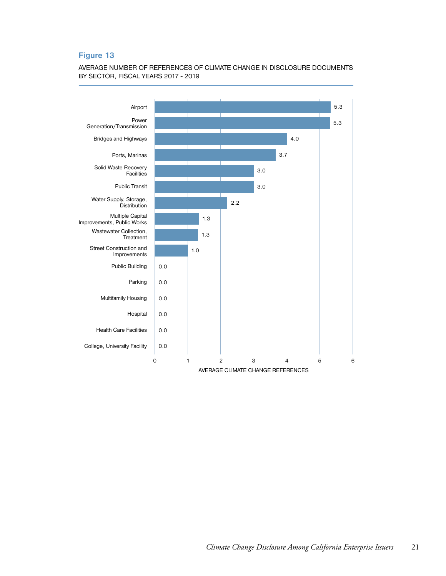### AVERAGE NUMBER OF REFERENCES OF CLIMATE CHANGE IN DISCLOSURE DOCUMENTS BY SECTOR, FISCAL YEARS 2017 - 2019

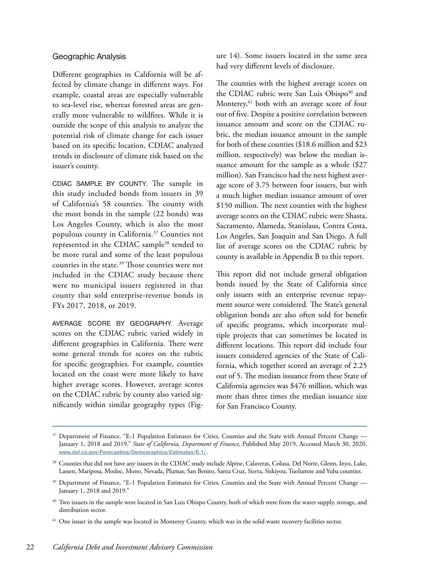### Geographic Analysis

Different geographies in California will be affected by climate change in different ways. For example, coastal areas are especially vulnerable to sea-level rise, whereas forested areas are generally more vulnerable to wildfires. While it is outside the scope of this analysis to analyze the potential risk of climate change for each issuer based on its specific location, CDIAC analyzed trends in disclosure of climate risk based on the issuer's county.

CDIAC SAMPLE BY COUNTY. The sample in this study included bonds from issuers in 39 of California's 58 counties. The county with the most bonds in the sample (22 bonds) was Los Angeles County, which is also the most populous county in California.37 Counties not represented in the CDIAC sample<sup>38</sup> tended to be more rural and some of the least populous counties in the state.39 Those counties were not included in the CDIAC study because there were no municipal issuers registered in that county that sold enterprise-revenue bonds in FYs 2017, 2018, or 2019.

AVERAGE SCORE BY GEOGRAPHY. Average scores on the CDIAC rubric varied widely in different geographies in California. There were some general trends for scores on the rubric for specific geographies. For example, counties located on the coast were more likely to have higher average scores. However, average scores on the CDIAC rubric by county also varied significantly within similar geography types (Figure 14). Some issuers located in the same area had very different levels of disclosure.

The counties with the highest average scores on the CDIAC rubric were San Luis Obispo<sup>40</sup> and Monterey,<sup>41</sup> both with an average score of four out of five. Despite a positive correlation between issuance amount and score on the CDIAC rubric, the median issuance amount in the sample for both of these counties (\$18.6 million and \$23 million, respectively) was below the median issuance amount for the sample as a whole (\$27 million). San Francisco had the next highest average score of 3.75 between four issuers, but with a much higher median issuance amount of over \$150 million. The next counties with the highest average scores on the CDIAC rubric were Shasta, Sacramento, Alameda, Stanislaus, Contra Costa, Los Angeles, San Joaquin and San Diego. A full list of average scores on the CDIAC rubric by county is available in Appendix B to this report.

This report did not include general obligation bonds issued by the State of California since only issuers with an enterprise revenue repayment source were considered. The State's general obligation bonds are also often sold for benefit of specific programs, which incorporate multiple projects that can sometimes be located in different locations. This report did include four issuers considered agencies of the State of California, which together scored an average of 2.25 out of 5. The median issuance from these State of California agencies was \$476 million, which was more than three times the median issuance size for San Francisco County.

<sup>&</sup>lt;sup>37</sup> Department of Finance, "E-1 Population Estimates for Cities, Counties and the State with Annual Percent Change — January 1, 2018 and 2019," *State of California, Department of Finance*, Published May 2019, Accessed March 30, 2020, **[www.dof.ca.gov/Forecasting/Demographics/Estimates/E-1/](http://www.dof.ca.gov/Forecasting/Demographics/Estimates/E-1/)**.

<sup>38</sup> Counties that did not have any issuers in the CDIAC study include Alpine, Calaveras, Colusa, Del Norte, Glenn, Inyo, Lake, Lassen, Mariposa, Modoc, Mono, Nevada, Plumas, San Benito, Santa Cruz, Sierra, Siskiyou, Tuolumne and Yuba counties.

<sup>&</sup>lt;sup>39</sup> Department of Finance, "E-1 Population Estimates for Cities, Counties and the State with Annual Percent Change — January 1, 2018 and 2019."

<sup>&</sup>lt;sup>40</sup> Two issuers in the sample were located in San Luis Obispo County, both of which were from the water supply, storage, and distribution sector.

<sup>&</sup>lt;sup>41</sup> One issuer in the sample was located in Monterey County, which was in the solid waste recovery facilities sector.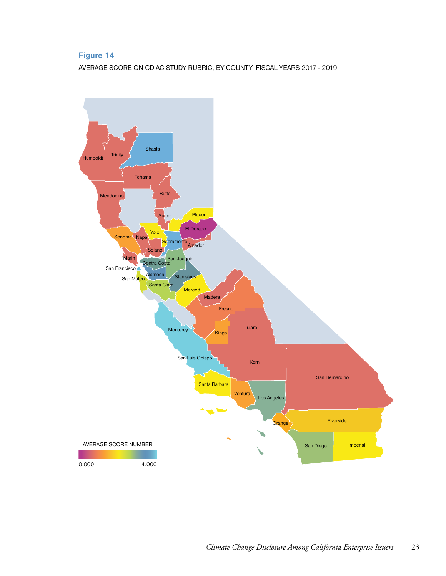AVERAGE SCORE ON CDIAC STUDY RUBRIC, BY COUNTY, FISCAL YEARS 2017 - 2019

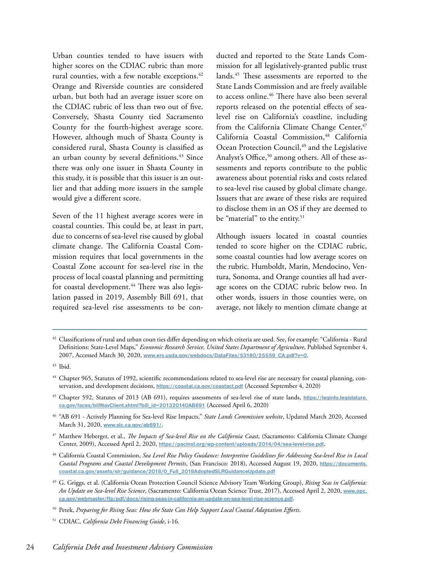Urban counties tended to have issuers with higher scores on the CDIAC rubric than more rural counties, with a few notable exceptions.<sup>42</sup> Orange and Riverside counties are considered urban, but both had an average issuer score on the CDIAC rubric of less than two out of five. Conversely, Shasta County tied Sacramento County for the fourth-highest average score. However, although much of Shasta County is considered rural, Shasta County is classified as an urban county by several definitions.<sup>43</sup> Since there was only one issuer in Shasta County in this study, it is possible that this issuer is an outlier and that adding more issuers in the sample would give a different score.

Seven of the 11 highest average scores were in coastal counties. This could be, at least in part, due to concerns of sea-level rise caused by global climate change. The California Coastal Commission requires that local governments in the Coastal Zone account for sea-level rise in the process of local coastal planning and permitting for coastal development.<sup>44</sup> There was also legislation passed in 2019, Assembly Bill 691, that required sea-level rise assessments to be con-

ducted and reported to the State Lands Commission for all legislatively-granted public trust lands.<sup>45</sup> These assessments are reported to the State Lands Commission and are freely available to access online.<sup>46</sup> There have also been several reports released on the potential effects of sealevel rise on California's coastline, including from the California Climate Change Center,<sup>47</sup> California Coastal Commission,<sup>48</sup> California Ocean Protection Council,<sup>49</sup> and the Legislative Analyst's Office,<sup>50</sup> among others. All of these assessments and reports contribute to the public awareness about potential risks and costs related to sea-level rise caused by global climate change. Issuers that are aware of these risks are required to disclose them in an OS if they are deemed to be "material" to the entity.<sup>51</sup>

Although issuers located in coastal counties tended to score higher on the CDIAC rubric, some coastal counties had low average scores on the rubric. Humboldt, Marin, Mendocino, Ventura, Sonoma, and Orange counties all had average scores on the CDIAC rubric below two. In other words, issuers in those counties were, on average, not likely to mention climate change at

- <sup>45</sup> Chapter 592, Statutes of 2013 (AB 691), requires assessments of sea-level rise of state lands, **[https://leginfo.legislature.](https://leginfo.legislature.ca.gov/faces/billNavClient.xhtml?bill_id=201320140AB691) [ca.gov/faces/billNavClient.xhtml?bill\\_id=201320140AB691](https://leginfo.legislature.ca.gov/faces/billNavClient.xhtml?bill_id=201320140AB691)** (Accessed April 6, 2020)
- <sup>46</sup> "AB 691 Actively Planning for Sea-level Rise Impacts," *State Lands Commission website*, Updated March 2020, Accessed March 31, 2020, **[www.slc.ca.gov/ab691/](http://www.slc.ca.gov/ab691/)**.
- <sup>47</sup> Matthew Heberger, et al., *The Impacts of Sea-level Rise on the California Coast*, (Sacramento: California Climate Change Center, 2009), Accessed April 2, 2020, **<https://pacinst.org/wp-content/uploads/2014/04/sea-level-rise.pdf>**.
- <sup>48</sup> California Coastal Commission, *Sea Level Rise Policy Guidance: Interpretive Guidelines for Addressing Sea-level Rise in Local Coastal Programs and Coastal Development Permits*, (San Francisco: 2018), Accessed August 19, 2020, **[https://documents.](https://documents.coastal.ca.gov/assets/slr/guidance/2018/0_Full_2018AdoptedSLRGuidanceUpdate.pdf) [coastal.ca.gov/assets/slr/guidance/2018/0\\_Full\\_2018AdoptedSLRGuidanceUpdate.pdf](https://documents.coastal.ca.gov/assets/slr/guidance/2018/0_Full_2018AdoptedSLRGuidanceUpdate.pdf)**
- <sup>49</sup> G. Griggs, et al. (California Ocean Protection Council Science Advisory Team Working Group), *Rising Seas in California: An Update on Sea-level Rise Science*, (Sacramento: California Ocean Science Trust, 2017), Accessed April 2, 2020, **[www.opc.](http://www.opc.ca.gov/webmaster/ftp/pdf/docs/rising-seas-in-california-an-update-on-sea-level-rise-science.) [ca.gov/webmaster/ftp/pdf/docs/rising-seas-in-california-an-update-on-sea-level-rise-science.pdf](http://www.opc.ca.gov/webmaster/ftp/pdf/docs/rising-seas-in-california-an-update-on-sea-level-rise-science.)**.

<sup>51</sup> CDIAC, *California Debt Financing Guide*, i-16.

 $42$  Classifications of rural and urban coun ties differ depending on which criteria are used. See, for example: "California - Rural Definitions: State-Level Maps," *Economic Research Service, United States Department of Agriculture*, Published September 4, 2007, Accessed March 30, 2020, **[www.ers.usda.gov/webdocs/DataFiles/53180/25559\\_CA.pdf?v=0](http://www.ers.usda.gov/webdocs/DataFiles/53180/25559_CA.pdf?v=0)**.

<sup>43</sup> Ibid.

<sup>44</sup> Chapter 965, Statutes of 1992, scientific recommendations related to sea-level rise are necessary for coastal planning, conservation, and development decisions, **<https://coastal.ca.gov/coastact.pdf>** (Accessed September 4, 2020)

<sup>50</sup> Petek, *Preparing for Rising Seas: How the State Can Help Support Local Coastal Adaptation Efforts*.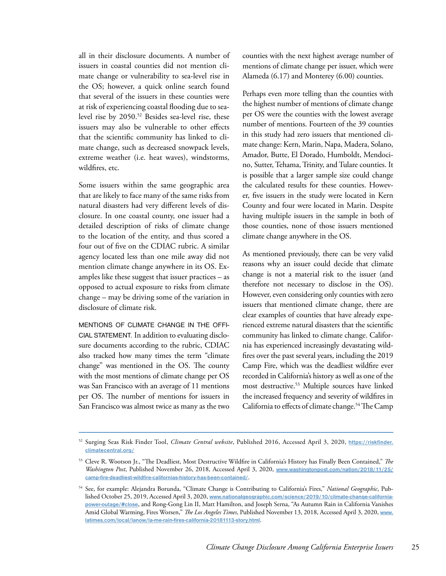all in their disclosure documents. A number of issuers in coastal counties did not mention climate change or vulnerability to sea-level rise in the OS; however, a quick online search found that several of the issuers in these counties were at risk of experiencing coastal flooding due to sealevel rise by 2050.52 Besides sea-level rise, these issuers may also be vulnerable to other effects that the scientific community has linked to climate change, such as decreased snowpack levels, extreme weather (i.e. heat waves), windstorms, wildfires, etc.

Some issuers within the same geographic area that are likely to face many of the same risks from natural disasters had very different levels of disclosure. In one coastal county, one issuer had a detailed description of risks of climate change to the location of the entity, and thus scored a four out of five on the CDIAC rubric. A similar agency located less than one mile away did not mention climate change anywhere in its OS. Examples like these suggest that issuer practices – as opposed to actual exposure to risks from climate change – may be driving some of the variation in disclosure of climate risk.

MENTIONS OF CLIMATE CHANGE IN THE OFFI-CIAL STATEMENT. In addition to evaluating disclosure documents according to the rubric, CDIAC also tracked how many times the term "climate change" was mentioned in the OS. The county with the most mentions of climate change per OS was San Francisco with an average of 11 mentions per OS. The number of mentions for issuers in San Francisco was almost twice as many as the two counties with the next highest average number of mentions of climate change per issuer, which were Alameda (6.17) and Monterey (6.00) counties.

Perhaps even more telling than the counties with the highest number of mentions of climate change per OS were the counties with the lowest average number of mentions. Fourteen of the 39 counties in this study had zero issuers that mentioned climate change: Kern, Marin, Napa, Madera, Solano, Amador, Butte, El Dorado, Humboldt, Mendocino, Sutter, Tehama, Trinity, and Tulare counties. It is possible that a larger sample size could change the calculated results for these counties. However, five issuers in the study were located in Kern County and four were located in Marin. Despite having multiple issuers in the sample in both of those counties, none of those issuers mentioned climate change anywhere in the OS.

As mentioned previously, there can be very valid reasons why an issuer could decide that climate change is not a material risk to the issuer (and therefore not necessary to disclose in the OS). However, even considering only counties with zero issuers that mentioned climate change, there are clear examples of counties that have already experienced extreme natural disasters that the scientific community has linked to climate change. California has experienced increasingly devastating wildfires over the past several years, including the 2019 Camp Fire, which was the deadliest wildfire ever recorded in California's history as well as one of the most destructive.53 Multiple sources have linked the increased frequency and severity of wildfires in California to effects of climate change.<sup>54</sup> The Camp

<sup>52</sup> Surging Seas Risk Finder Tool, *Climate Central website*, Published 2016, Accessed April 3, 2020, **[https://riskfinder.](https://riskfinder.climatecentral.org/) [climatecentral.org/](https://riskfinder.climatecentral.org/)**

<sup>53</sup> Cleve R. Wootson Jr., "The Deadliest, Most Destructive Wildfire in California's History has Finally Been Contained," *The Washington Post*, Published November 26, 2018, Accessed April 3, 2020, **[www.washingtonpost.com/nation/2018/11/25/](http://www.washingtonpost.com/nation/2018/11/25/camp-fire-deadliest-wildfire-californias-history-has-been-contained/) [camp-fire-deadliest-wildfire-californias-history-has-been-contained/](http://www.washingtonpost.com/nation/2018/11/25/camp-fire-deadliest-wildfire-californias-history-has-been-contained/)**.

<sup>54</sup> See, for example: Alejandra Borunda, "Climate Change is Contributing to California's Fires," *National Geographic*, Published October 25, 2019, Accessed April 3, 2020, **[www.nationalgeographic.com/science/2019/10/climate-change-california](http://www.nationalgeographic.com/science/2019/10/climate-change-california-power-outage/#close)[power-outage/#close](http://www.nationalgeographic.com/science/2019/10/climate-change-california-power-outage/#close)**, and Rong-Gong Lin II, Matt Hamilton, and Joseph Serna, "As Autumn Rain in California Vanishes Amid Global Warming, Fires Worsen," *The Los Angeles Times*, Published November 13, 2018, Accessed April 3, 2020, **[www.](http://www.latimes.com/local/lanow/la-me-rain-fires-california-20181113-story.html) [latimes.com/local/lanow/la-me-rain-fires-california-20181113-story.html](http://www.latimes.com/local/lanow/la-me-rain-fires-california-20181113-story.html)**.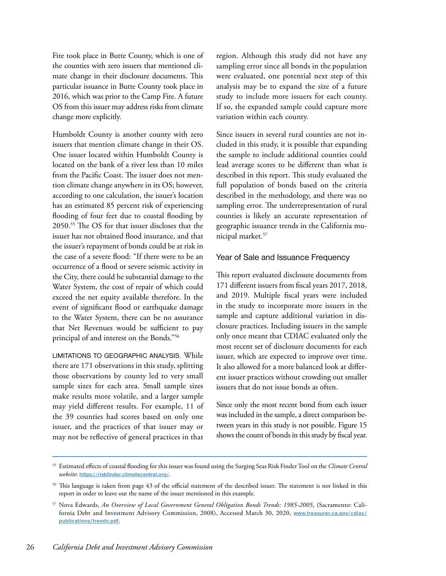Fire took place in Butte County, which is one of the counties with zero issuers that mentioned climate change in their disclosure documents. This particular issuance in Butte County took place in 2016, which was prior to the Camp Fire. A future OS from this issuer may address risks from climate change more explicitly.

Humboldt County is another county with zero issuers that mention climate change in their OS. One issuer located within Humboldt County is located on the bank of a river less than 10 miles from the Pacific Coast. The issuer does not mention climate change anywhere in its OS; however, according to one calculation, the issuer's location has an estimated 85 percent risk of experiencing flooding of four feet due to coastal flooding by 2050.55 The OS for that issuer discloses that the issuer has not obtained flood insurance, and that the issuer's repayment of bonds could be at risk in the case of a severe flood: "If there were to be an occurrence of a flood or severe seismic activity in the City, there could be substantial damage to the Water System, the cost of repair of which could exceed the net equity available therefore. In the event of significant flood or earthquake damage to the Water System, there can be no assurance that Net Revenues would be sufficient to pay principal of and interest on the Bonds."56

LIMITATIONS TO GEOGRAPHIC ANALYSIS. While there are 171 observations in this study, splitting those observations by county led to very small sample sizes for each area. Small sample sizes make results more volatile, and a larger sample may yield different results. For example, 11 of the 39 counties had scores based on only one issuer, and the practices of that issuer may or may not be reflective of general practices in that

region. Although this study did not have any sampling error since all bonds in the population were evaluated, one potential next step of this analysis may be to expand the size of a future study to include more issuers for each county. If so, the expanded sample could capture more variation within each county.

Since issuers in several rural counties are not included in this study, it is possible that expanding the sample to include additional counties could lead average scores to be different than what is described in this report. This study evaluated the full population of bonds based on the criteria described in the methodology, and there was no sampling error. The underrepresentation of rural counties is likely an accurate representation of geographic issuance trends in the California municipal market.57

#### Year of Sale and Issuance Frequency

This report evaluated disclosure documents from 171 different issuers from fiscal years 2017, 2018, and 2019. Multiple fiscal years were included in the study to incorporate more issuers in the sample and capture additional variation in disclosure practices. Including issuers in the sample only once meant that CDIAC evaluated only the most recent set of disclosure documents for each issuer, which are expected to improve over time. It also allowed for a more balanced look at different issuer practices without crowding out smaller issuers that do not issue bonds as often.

Since only the most recent bond from each issuer was included in the sample, a direct comparison between years in this study is not possible. Figure 15 shows the count of bonds in this study by fiscal year.

<sup>55</sup> Estimated effects of coastal flooding for this issuer was found using the Surging Seas Risk Finder Tool on the *Climate Central website*: **<https://riskfinder.climatecentral.org/>**.

<sup>&</sup>lt;sup>56</sup> This language is taken from page 43 of the official statement of the described issuer. The statement is not linked in this report in order to leave out the name of the issuer mentioned in this example.

<sup>57</sup> Nova Edwards, *An Overview of Local Government General Obligation Bonds Trends: 1985-2005*, (Sacramento: California Debt and Investment Advisory Commission, 2008), Accessed March 30, 2020, **[www.treasurer.ca.gov/cdiac/](http://www.treasurer.ca.gov/cdiac/publications/trends.pdf) [publications/trends.pdf](http://www.treasurer.ca.gov/cdiac/publications/trends.pdf)**.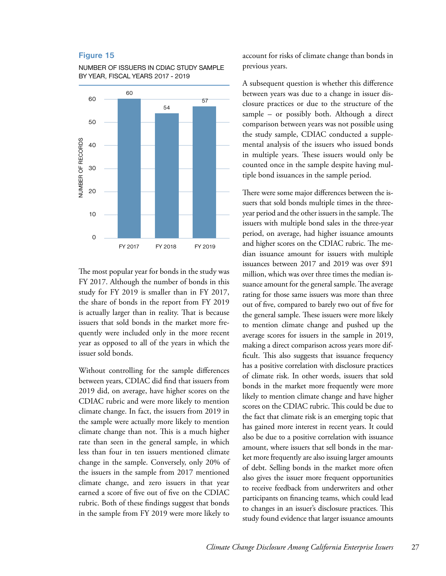

NUMBER OF ISSUERS IN CDIAC STUDY SAMPLE BY YEAR, FISCAL YEARS 2017 - 2019

The most popular year for bonds in the study was FY 2017. Although the number of bonds in this study for FY 2019 is smaller than in FY 2017, the share of bonds in the report from FY 2019 is actually larger than in reality. That is because issuers that sold bonds in the market more frequently were included only in the more recent year as opposed to all of the years in which the issuer sold bonds.

Without controlling for the sample differences between years, CDIAC did find that issuers from 2019 did, on average, have higher scores on the CDIAC rubric and were more likely to mention climate change. In fact, the issuers from 2019 in the sample were actually more likely to mention climate change than not. This is a much higher rate than seen in the general sample, in which less than four in ten issuers mentioned climate change in the sample. Conversely, only 20% of the issuers in the sample from 2017 mentioned climate change, and zero issuers in that year earned a score of five out of five on the CDIAC rubric. Both of these findings suggest that bonds in the sample from FY 2019 were more likely to

account for risks of climate change than bonds in previous years.

A subsequent question is whether this difference between years was due to a change in issuer disclosure practices or due to the structure of the sample – or possibly both. Although a direct comparison between years was not possible using the study sample, CDIAC conducted a supplemental analysis of the issuers who issued bonds in multiple years. These issuers would only be counted once in the sample despite having multiple bond issuances in the sample period.

There were some major differences between the issuers that sold bonds multiple times in the threeyear period and the other issuers in the sample. The issuers with multiple bond sales in the three-year period, on average, had higher issuance amounts and higher scores on the CDIAC rubric. The median issuance amount for issuers with multiple issuances between 2017 and 2019 was over \$91 million, which was over three times the median issuance amount for the general sample. The average rating for those same issuers was more than three out of five, compared to barely two out of five for the general sample. These issuers were more likely to mention climate change and pushed up the average scores for issuers in the sample in 2019, making a direct comparison across years more difficult. This also suggests that issuance frequency has a positive correlation with disclosure practices of climate risk. In other words, issuers that sold bonds in the market more frequently were more likely to mention climate change and have higher scores on the CDIAC rubric. This could be due to the fact that climate risk is an emerging topic that has gained more interest in recent years. It could also be due to a positive correlation with issuance amount, where issuers that sell bonds in the market more frequently are also issuing larger amounts of debt. Selling bonds in the market more often also gives the issuer more frequent opportunities to receive feedback from underwriters and other participants on financing teams, which could lead to changes in an issuer's disclosure practices. This study found evidence that larger issuance amounts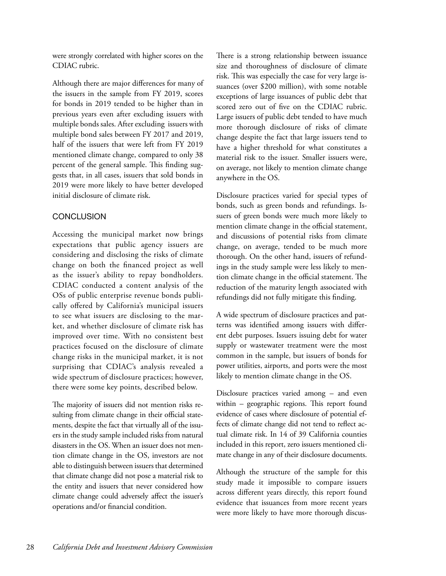were strongly correlated with higher scores on the CDIAC rubric.

Although there are major differences for many of the issuers in the sample from FY 2019, scores for bonds in 2019 tended to be higher than in previous years even after excluding issuers with multiple bonds sales. After excluding issuers with multiple bond sales between FY 2017 and 2019, half of the issuers that were left from FY 2019 mentioned climate change, compared to only 38 percent of the general sample. This finding suggests that, in all cases, issuers that sold bonds in 2019 were more likely to have better developed initial disclosure of climate risk.

## **CONCLUSION**

Accessing the municipal market now brings expectations that public agency issuers are considering and disclosing the risks of climate change on both the financed project as well as the issuer's ability to repay bondholders. CDIAC conducted a content analysis of the OSs of public enterprise revenue bonds publically offered by California's municipal issuers to see what issuers are disclosing to the market, and whether disclosure of climate risk has improved over time. With no consistent best practices focused on the disclosure of climate change risks in the municipal market, it is not surprising that CDIAC's analysis revealed a wide spectrum of disclosure practices; however, there were some key points, described below.

The majority of issuers did not mention risks resulting from climate change in their official statements, despite the fact that virtually all of the issuers in the study sample included risks from natural disasters in the OS. When an issuer does not mention climate change in the OS, investors are not able to distinguish between issuers that determined that climate change did not pose a material risk to the entity and issuers that never considered how climate change could adversely affect the issuer's operations and/or financial condition.

There is a strong relationship between issuance size and thoroughness of disclosure of climate risk. This was especially the case for very large issuances (over \$200 million), with some notable exceptions of large issuances of public debt that scored zero out of five on the CDIAC rubric. Large issuers of public debt tended to have much more thorough disclosure of risks of climate change despite the fact that large issuers tend to have a higher threshold for what constitutes a material risk to the issuer. Smaller issuers were, on average, not likely to mention climate change anywhere in the OS.

Disclosure practices varied for special types of bonds, such as green bonds and refundings. Issuers of green bonds were much more likely to mention climate change in the official statement, and discussions of potential risks from climate change, on average, tended to be much more thorough. On the other hand, issuers of refundings in the study sample were less likely to mention climate change in the official statement. The reduction of the maturity length associated with refundings did not fully mitigate this finding.

A wide spectrum of disclosure practices and patterns was identified among issuers with different debt purposes. Issuers issuing debt for water supply or wastewater treatment were the most common in the sample, but issuers of bonds for power utilities, airports, and ports were the most likely to mention climate change in the OS.

Disclosure practices varied among – and even within – geographic regions. This report found evidence of cases where disclosure of potential effects of climate change did not tend to reflect actual climate risk. In 14 of 39 California counties included in this report, zero issuers mentioned climate change in any of their disclosure documents.

Although the structure of the sample for this study made it impossible to compare issuers across different years directly, this report found evidence that issuances from more recent years were more likely to have more thorough discus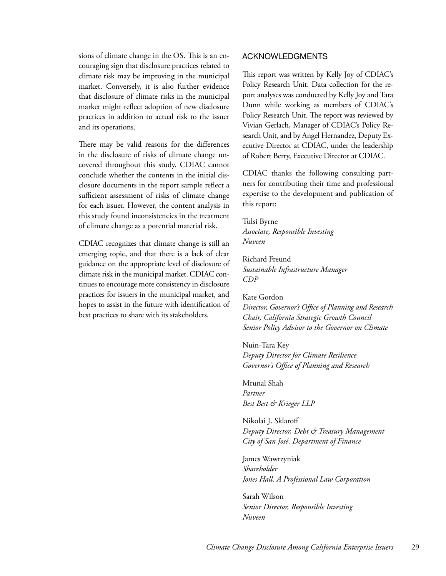sions of climate change in the OS. This is an encouraging sign that disclosure practices related to climate risk may be improving in the municipal market. Conversely, it is also further evidence that disclosure of climate risks in the municipal market might reflect adoption of new disclosure practices in addition to actual risk to the issuer and its operations.

There may be valid reasons for the differences in the disclosure of risks of climate change uncovered throughout this study. CDIAC cannot conclude whether the contents in the initial disclosure documents in the report sample reflect a sufficient assessment of risks of climate change for each issuer. However, the content analysis in this study found inconsistencies in the treatment of climate change as a potential material risk.

CDIAC recognizes that climate change is still an emerging topic, and that there is a lack of clear guidance on the appropriate level of disclosure of climate risk in the municipal market. CDIAC continues to encourage more consistency in disclosure practices for issuers in the municipal market, and hopes to assist in the future with identification of best practices to share with its stakeholders.

#### ACKNOWLEDGMENTS

This report was written by Kelly Joy of CDIAC's Policy Research Unit. Data collection for the report analyses was conducted by Kelly Joy and Tara Dunn while working as members of CDIAC's Policy Research Unit. The report was reviewed by Vivian Gerlach, Manager of CDIAC's Policy Research Unit, and by Angel Hernandez, Deputy Executive Director at CDIAC, under the leadership of Robert Berry, Executive Director at CDIAC.

CDIAC thanks the following consulting partners for contributing their time and professional expertise to the development and publication of this report:

Tulsi Byrne *Associate, Responsible Investing Nuveen*

Richard Freund *Sustainable Infrastructure Manager CDP*

Kate Gordon *Director, Governor's Office of Planning and Research Chair, California Strategic Growth Council*

*Senior Policy Advisor to the Governor on Climate* Nuin-Tara Key

*Deputy Director for Climate Resilience Governor's Office of Planning and Research*

Mrunal Shah *Partner Best Best & Krieger LLP*

Nikolai J. Sklaroff *Deputy Director, Debt & Treasury Management City of San José, Department of Finance*

James Wawrzyniak *Shareholder Jones Hall, A Professional Law Corporation*

Sarah Wilson *Senior Director, Responsible Investing Nuveen*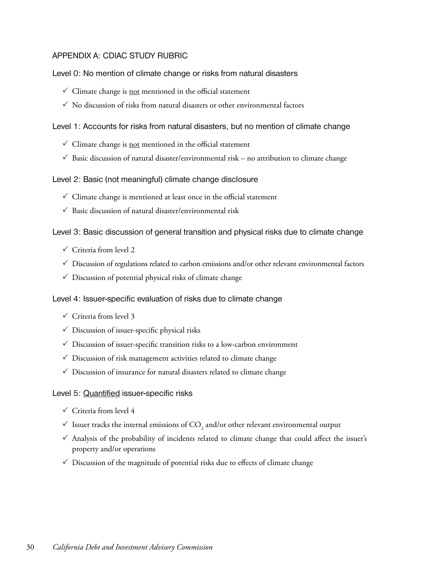## APPENDIX A: CDIAC STUDY RUBRIC

### Level 0: No mention of climate change or risks from natural disasters

- $\checkmark$  Climate change is <u>not</u> mentioned in the official statement
- $\checkmark$  No discussion of risks from natural disasters or other environmental factors

### Level 1: Accounts for risks from natural disasters, but no mention of climate change

- $\checkmark$  Climate change is <u>not</u> mentioned in the official statement
- $\checkmark$  Basic discussion of natural disaster/environmental risk no attribution to climate change

### Level 2: Basic (not meaningful) climate change disclosure

- $\checkmark$  Climate change is mentioned at least once in the official statement
- $\checkmark$  Basic discussion of natural disaster/environmental risk

### Level 3: Basic discussion of general transition and physical risks due to climate change

- $\checkmark$  Criteria from level 2
- $\checkmark$  Discussion of regulations related to carbon emissions and/or other relevant environmental factors
- $\checkmark$  Discussion of potential physical risks of climate change

### Level 4: Issuer-specific evaluation of risks due to climate change

- $\checkmark$  Criteria from level 3
- $\checkmark$  Discussion of issuer-specific physical risks
- $\checkmark$  Discussion of issuer-specific transition risks to a low-carbon environment
- $\checkmark$  Discussion of risk management activities related to climate change
- $\checkmark$  Discussion of insurance for natural disasters related to climate change

### Level 5: Quantified issuer-specific risks

- $\checkmark$  Criteria from level 4
- $\checkmark$  Issuer tracks the internal emissions of CO<sub>2</sub> and/or other relevant environmental output
- $\checkmark$  Analysis of the probability of incidents related to climate change that could affect the issuer's property and/or operations
- $\checkmark$  Discussion of the magnitude of potential risks due to effects of climate change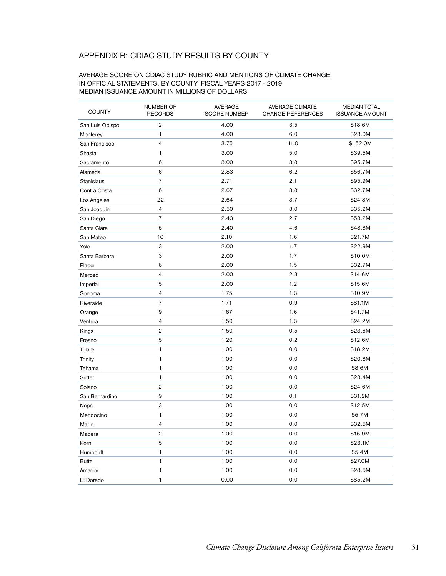## APPENDIX B: CDIAC STUDY RESULTS BY COUNTY

#### AVERAGE SCORE ON CDIAC STUDY RUBRIC AND MENTIONS OF CLIMATE CHANGE IN OFFICIAL STATEMENTS, BY COUNTY, FISCAL YEARS 2017 - 2019 MEDIAN ISSUANCE AMOUNT IN MILLIONS OF DOLLARS

| <b>COUNTY</b>   | NUMBER OF<br><b>RECORDS</b> | <b>AVERAGE</b><br><b>SCORE NUMBER</b> | <b>AVERAGE CLIMATE</b><br><b>CHANGE REFERENCES</b> | <b>MEDIAN TOTAL</b><br><b>ISSUANCE AMOUNT</b> |
|-----------------|-----------------------------|---------------------------------------|----------------------------------------------------|-----------------------------------------------|
| San Luis Obispo | $\overline{c}$              | 4.00                                  | 3.5                                                | \$18.6M                                       |
| Monterey        | 1                           | 4.00                                  | 6.0                                                | \$23.0M                                       |
| San Francisco   | 4                           | 3.75                                  | 11.0                                               | \$152.0M                                      |
| Shasta          | 1                           | 3.00                                  | 5.0                                                | \$39.5M                                       |
| Sacramento      | 6                           | 3.00                                  | 3.8                                                | \$95.7M                                       |
| Alameda         | 6                           | 2.83                                  | 6.2                                                | \$56.7M                                       |
| Stanislaus      | 7                           | 2.71                                  | 2.1                                                | \$95.9M                                       |
| Contra Costa    | 6                           | 2.67                                  | 3.8                                                | \$32.7M                                       |
| Los Angeles     | 22                          | 2.64                                  | 3.7                                                | \$24.8M                                       |
| San Joaquin     | $\overline{4}$              | 2.50                                  | 3.0                                                | \$35.2M                                       |
| San Diego       | $\overline{7}$              | 2.43                                  | 2.7                                                | \$53.2M                                       |
| Santa Clara     | 5                           | 2.40                                  | 4.6                                                | \$48.8M                                       |
| San Mateo       | 10                          | 2.10                                  | 1.6                                                | \$21.7M                                       |
| Yolo            | 3                           | 2.00                                  | 1.7                                                | \$22.9M                                       |
| Santa Barbara   | 3                           | 2.00                                  | 1.7                                                | \$10.0M                                       |
| Placer          | 6                           | 2.00                                  | 1.5                                                | \$32.7M                                       |
| Merced          | 4                           | 2.00                                  | 2.3                                                | \$14.6M                                       |
| Imperial        | 5                           | 2.00                                  | 1.2                                                | \$15.6M                                       |
| Sonoma          | 4                           | 1.75                                  | 1.3                                                | \$10.9M                                       |
| Riverside       | $\overline{7}$              | 1.71                                  | 0.9                                                | \$81.1M                                       |
| Orange          | 9                           | 1.67                                  | 1.6                                                | \$41.7M                                       |
| Ventura         | 4                           | 1.50                                  | 1.3                                                | \$24.2M                                       |
| Kings           | $\overline{c}$              | 1.50                                  | 0.5                                                | \$23.6M                                       |
| Fresno          | 5                           | 1.20                                  | 0.2                                                | \$12.6M                                       |
| Tulare          | 1                           | 1.00                                  | 0.0                                                | \$18.2M                                       |
| Trinity         | $\mathbf{1}$                | 1.00                                  | 0.0                                                | \$20.8M                                       |
| Tehama          | 1                           | 1.00                                  | 0.0                                                | \$8.6M                                        |
| Sutter          | 1                           | 1.00                                  | 0.0                                                | \$23.4M                                       |
| Solano          | $\overline{c}$              | 1.00                                  | 0.0                                                | \$24.6M                                       |
| San Bernardino  | 9                           | 1.00                                  | 0.1                                                | \$31.2M                                       |
| Napa            | 3                           | 1.00                                  | 0.0                                                | \$12.5M                                       |
| Mendocino       | 1                           | 1.00                                  | 0.0                                                | \$5.7M                                        |
| Marin           | $\overline{4}$              | 1.00                                  | 0.0                                                | \$32.5M                                       |
| Madera          | $\overline{c}$              | 1.00                                  | 0.0                                                | \$15.9M                                       |
| Kern            | 5                           | 1.00                                  | 0.0                                                | \$23.1M                                       |
| Humboldt        | 1                           | 1.00                                  | 0.0                                                | \$5.4M                                        |
| <b>Butte</b>    | 1                           | 1.00                                  | 0.0                                                | \$27.0M                                       |
| Amador          | $\mathbf{1}$                | 1.00                                  | 0.0                                                | \$28.5M                                       |
| El Dorado       | $\mathbf{1}$                | 0.00                                  | 0.0                                                | \$85.2M                                       |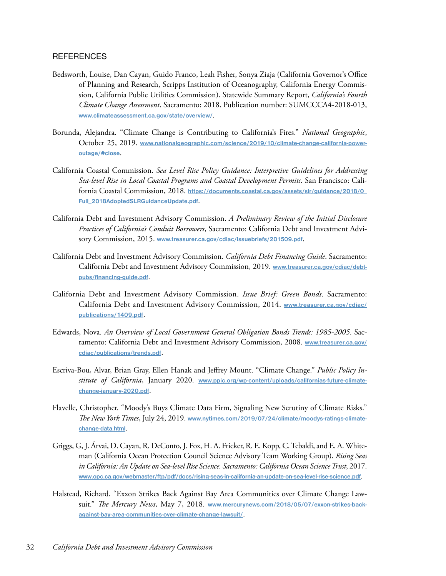#### **REFERENCES**

- Bedsworth, Louise, Dan Cayan, Guido Franco, Leah Fisher, Sonya Ziaja (California Governor's Office of Planning and Research, Scripps Institution of Oceanography, California Energy Commission, California Public Utilities Commission). Statewide Summary Report, *California's Fourth Climate Change Assessment*. Sacramento: 2018. Publication number: SUMCCCA4-2018-013, **[www.climateassessment.ca.gov/state/overview/](https://www.climateassessment.ca.gov/state/overview/)**.
- Borunda, Alejandra. "Climate Change is Contributing to California's Fires." *National Geographic*, October 25, 2019. **[www.nationalgeographic.com/science/2019/10/climate-change-california-power](http://www.nationalgeographic.com/science/2019/10/climate-change-california-power-outage/#close)[outage/#close](http://www.nationalgeographic.com/science/2019/10/climate-change-california-power-outage/#close)**.
- California Coastal Commission. *Sea Level Rise Policy Guidance: Interpretive Guidelines for Addressing Sea-level Rise in Local Coastal Programs and Coastal Development Permits*. San Francisco: California Coastal Commission, 2018. **[https://documents.coastal.ca.gov/assets/slr/guidance/2018/0\\_](https://documents.coastal.ca.gov/assets/slr/guidance/2018/0_Full_2018AdoptedSLRGuidanceUpdate.pdf) [Full\\_2018AdoptedSLRGuidanceUpdate.pdf](https://documents.coastal.ca.gov/assets/slr/guidance/2018/0_Full_2018AdoptedSLRGuidanceUpdate.pdf)**.
- California Debt and Investment Advisory Commission. *A Preliminary Review of the Initial Disclosure Practices of California's Conduit Borrowers*, Sacramento: California Debt and Investment Advisory Commission, 2015. **[www.treasurer.ca.gov/cdiac/issuebriefs/201509.pdf](https://www.treasurer.ca.gov/cdiac/issuebriefs/201509.pdf)**.
- California Debt and Investment Advisory Commission. *California Debt Financing Guide*. Sacramento: California Debt and Investment Advisory Commission, 2019. **[www.treasurer.ca.gov/cdiac/debt](https://www.treasurer.ca.gov/cdiac/debtpubs/financing-guide.pdf)[pubs/financing-guide.pdf](https://www.treasurer.ca.gov/cdiac/debtpubs/financing-guide.pdf)**.
- California Debt and Investment Advisory Commission. *Issue Brief: Green Bonds*. Sacramento: California Debt and Investment Advisory Commission, 2014. **[www.treasurer.ca.gov/cdiac/](https://www.treasurer.ca.gov/cdiac/publications/1409.pdf) [publications/1409.pdf](https://www.treasurer.ca.gov/cdiac/publications/1409.pdf)**.
- Edwards, Nova. *An Overview of Local Government General Obligation Bonds Trends: 1985-2005*. Sacramento: California Debt and Investment Advisory Commission, 2008. **[www.treasurer.ca.gov/](https://www.treasurer.ca.gov/cdiac/publications/trends.pdf) [cdiac/publications/trends.pdf](https://www.treasurer.ca.gov/cdiac/publications/trends.pdf)**.
- Escriva-Bou, Alvar, Brian Gray, Ellen Hanak and Jeffrey Mount. "Climate Change." *Public Policy Institute of California*, January 2020. **[www.ppic.org/wp-content/uploads/californias-future-climate](https://www.ppic.org/wp-content/uploads/californias-future-climate-change-january-2020.pdf)[change-january-2020.pdf](https://www.ppic.org/wp-content/uploads/californias-future-climate-change-january-2020.pdf)**.
- Flavelle, Christopher. "Moody's Buys Climate Data Firm, Signaling New Scrutiny of Climate Risks." *The New York Times*, July 24, 2019. **[www.nytimes.com/2019/07/24/climate/moodys-ratings-climate](https://www.nytimes.com/2019/07/24/climate/moodys-ratings-climate-change-data.html)[change-data.html](https://www.nytimes.com/2019/07/24/climate/moodys-ratings-climate-change-data.html)**.
- Griggs, G, J. Árvai, D. Cayan, R. DeConto, J. Fox, H. A. Fricker, R. E. Kopp, C. Tebaldi, and E. A. Whiteman (California Ocean Protection Council Science Advisory Team Working Group). *Rising Seas in California: An Update on Sea-level Rise Science. Sacramento: California Ocean Science Trust*, 2017. **[www.opc.ca.gov/webmaster/ftp/pdf/docs/rising-seas-in-california-an-update-on-sea-level-rise-science.pdf](http://www.opc.ca.gov/webmaster/ftp/pdf/docs/rising-seas-in-california-an-update-on-sea-level-rise-science.pdf)**.
- Halstead, Richard. "Exxon Strikes Back Against Bay Area Communities over Climate Change Lawsuit." *The Mercury News*, May 7, 2018. **[www.mercurynews.com/2018/05/07/exxon-strikes-back](https://www.mercurynews.com/2018/05/07/exxon-strikes-back-against-bay-area-communities-over-climate-change-lawsuit/)[against-bay-area-communities-over-climate-change-lawsuit/](https://www.mercurynews.com/2018/05/07/exxon-strikes-back-against-bay-area-communities-over-climate-change-lawsuit/)**.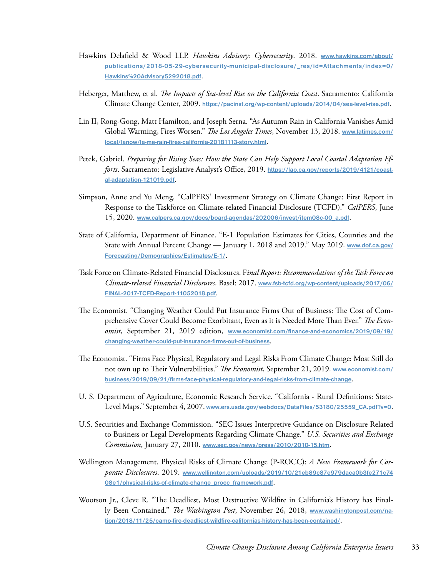- Hawkins Delafield & Wood LLP. *Hawkins Advisory: Cybersecurity*. 2018. **[www.hawkins.com/about/](https://www.hawkins.com/about/publications/2018-05-29-cybersecurity-municipal-disclosure/_res/id=Attachments/index=0/Hawkins%20Advisory5292018.pdf) [publications/2018-05-29-cybersecurity-municipal-disclosure/\\_res/id=Attachments/index=0/](https://www.hawkins.com/about/publications/2018-05-29-cybersecurity-municipal-disclosure/_res/id=Attachments/index=0/Hawkins%20Advisory5292018.pdf) [Hawkins%20Advisory5292018.pdf](https://www.hawkins.com/about/publications/2018-05-29-cybersecurity-municipal-disclosure/_res/id=Attachments/index=0/Hawkins%20Advisory5292018.pdf)**.
- Heberger, Matthew, et al. *The Impacts of Sea-level Rise on the California Coast*. Sacramento: California Climate Change Center, 2009. **<https://pacinst.org/wp-content/uploads/2014/04/sea-level-rise.pdf>**.
- Lin II, Rong-Gong, Matt Hamilton, and Joseph Serna. "As Autumn Rain in California Vanishes Amid Global Warming, Fires Worsen." *The Los Angeles Times*, November 13, 2018. **[www.latimes.com/](https://www.latimes.com/local/lanow/la-me-rain-fires-california-20181113-story.html) [local/lanow/la-me-rain-fires-california-20181113-story.html](https://www.latimes.com/local/lanow/la-me-rain-fires-california-20181113-story.html)**.
- Petek, Gabriel. *Preparing for Rising Seas: How the State Can Help Support Local Coastal Adaptation Efforts*. Sacramento: Legislative Analyst's Office, 2019. **[https://lao.ca.gov/reports/2019/4121/coast](https://lao.ca.gov/reports/2019/4121/coastal-adaptation-121019.pdf)[al-adaptation-121019.pdf](https://lao.ca.gov/reports/2019/4121/coastal-adaptation-121019.pdf)**.
- Simpson, Anne and Yu Meng. "CalPERS' Investment Strategy on Climate Change: First Report in Response to the Taskforce on Climate-related Financial Disclosure (TCFD)." *CalPERS*, June 15, 2020. **[www.calpers.ca.gov/docs/board-agendas/202006/invest/item08c-00\\_a.pdf](https://www.calpers.ca.gov/docs/board-agendas/202006/invest/item08c-00_a.pdf)**.
- State of California, Department of Finance. "E-1 Population Estimates for Cities, Counties and the State with Annual Percent Change — January 1, 2018 and 2019." May 2019. **[www.dof.ca.gov/](http://www.dof.ca.gov/Forecasting/Demographics/Estimates/E-1/) [Forecasting/Demographics/Estimates/E-1/](http://www.dof.ca.gov/Forecasting/Demographics/Estimates/E-1/)**.
- Task Force on Climate-Related Financial Disclosures. F*inal Report: Recommendations of the Task Force on Climate-related Financial Disclosures*. Basel: 2017. **[www.fsb-tcfd.org/wp-content/uploads/2017/06/](https://www.fsb-tcfd.org/wp-content/uploads/2017/06/FINAL-2017-TCFD-Report-11052018.pdf) [FINAL-2017-TCFD-Report-11052018.pdf](https://www.fsb-tcfd.org/wp-content/uploads/2017/06/FINAL-2017-TCFD-Report-11052018.pdf)**.
- The Economist. "Changing Weather Could Put Insurance Firms Out of Business: The Cost of Comprehensive Cover Could Become Exorbitant, Even as it is Needed More Than Ever." *The Economist*, September 21, 2019 edition, **[www.economist.com/finance-and-economics/2019/09/19/](https://www.economist.com/finance-and-economics/2019/09/19/changing-weather-could-put-insurance-firms-out-of-business) [changing-weather-could-put-insurance-firms-out-of-business](https://www.economist.com/finance-and-economics/2019/09/19/changing-weather-could-put-insurance-firms-out-of-business)**.
- The Economist. "Firms Face Physical, Regulatory and Legal Risks From Climate Change: Most Still do not own up to Their Vulnerabilities." *The Economist*, September 21, 2019. **[www.economist.com/](https://www.economist.com/business/2019/09/21/firms-face-physical-regulatory-and-legal-risks-from-climate-change) [business/2019/09/21/firms-face-physical-regulatory-and-legal-risks-from-climate-change](https://www.economist.com/business/2019/09/21/firms-face-physical-regulatory-and-legal-risks-from-climate-change)**.
- U. S. Department of Agriculture, Economic Research Service. "California Rural Definitions: State-Level Maps." September 4, 2007. **[www.ers.usda.gov/webdocs/DataFiles/53180/25559\\_CA.pdf?v=0](https://www.ers.usda.gov/webdocs/DataFiles/53180/25559_CA.pdf?v=0)**.
- U.S. Securities and Exchange Commission. "SEC Issues Interpretive Guidance on Disclosure Related to Business or Legal Developments Regarding Climate Change." *U.S. Securities and Exchange Commission*, January 27, 2010. **[www.sec.gov/news/press/2010/2010-15.htm](https://www.sec.gov/news/press/2010/2010-15.htm)**.
- Wellington Management. Physical Risks of Climate Change (P-ROCC): *A New Framework for Corporate Disclosures*. 2019. **[www.wellington.com/uploads/2019/10/21eb89c87e979daca0b3fe271c74](http://www.wellington.com/uploads/2019/10/21eb89c87e979daca0b3fe271c7408e1/physical-risks-of-climate-change_procc_framework.pdf) [08e1/physical-risks-of-climate-change\\_procc\\_framework.pdf](http://www.wellington.com/uploads/2019/10/21eb89c87e979daca0b3fe271c7408e1/physical-risks-of-climate-change_procc_framework.pdf)**.
- Wootson Jr., Cleve R. "The Deadliest, Most Destructive Wildfire in California's History has Finally Been Contained." *The Washington Post*, November 26, 2018, **[www.washingtonpost.com/na](https://www.washingtonpost.com/nation/2018/11/25/camp-fire-deadliest-wildfire-californias-history-has-been-contained/)[tion/2018/11/25/camp-fire-deadliest-wildfire-californias-history-has-been-contained/](https://www.washingtonpost.com/nation/2018/11/25/camp-fire-deadliest-wildfire-californias-history-has-been-contained/)**.